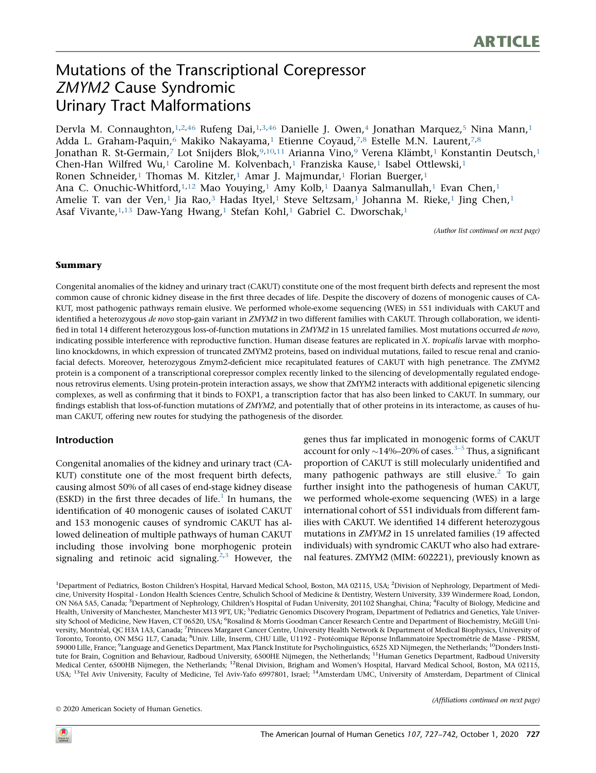# Mutations of the Transcriptional Corepressor ZMYM2 Cause Syndromic Urinary Tract Malformations

Dervla M. Connaughton, 1,2,46 Rufeng Dai, 1,3,46 Danielle J. Owen, 4 Jonathan Marquez, 5 Nina Mann, 1 Adda L. Graham-Paquin,<sup>6</sup> Makiko Nakayama,<sup>1</sup> Etienne Coyaud,<sup>7,8</sup> Estelle M.N. Laurent,<sup>7,8</sup> Jonathan R. St-Germain,<sup>7</sup> Lot Snijders Blok,<sup>9,10,11</sup> Arianna Vino,<sup>9</sup> Verena Klämbt,<sup>1</sup> Konstantin Deutsch,<sup>1</sup> Chen-Han Wilfred Wu,<sup>1</sup> Caroline M. Kolvenbach,<sup>1</sup> Franziska Kause,<sup>1</sup> Isabel Ottlewski,<sup>1</sup> Ronen Schneider,<sup>1</sup> Thomas M. Kitzler,<sup>1</sup> Amar J. Majmundar,<sup>1</sup> Florian Buerger,<sup>1</sup> Ana C. Onuchic-Whitford,  $1,12$  Mao Youying, 1 Amy Kolb, 1 Daanya Salmanullah, 1 Evan Chen, 1 Amelie T. van der Ven,<sup>1</sup> Jia Rao,<sup>3</sup> Hadas Ityel,<sup>1</sup> Steve Seltzsam,<sup>1</sup> Johanna M. Rieke,<sup>1</sup> Jing Chen,<sup>1</sup> Asaf Vivante, <sup>1, 13</sup> Daw-Yang Hwang,<sup>1</sup> Stefan Kohl,<sup>1</sup> Gabriel C. Dworschak,<sup>1</sup>

(Author list continued on next page)

#### Summary

Congenital anomalies of the kidney and urinary tract (CAKUT) constitute one of the most frequent birth defects and represent the most common cause of chronic kidney disease in the first three decades of life. Despite the discovery of dozens of monogenic causes of CA-KUT, most pathogenic pathways remain elusive. We performed whole-exome sequencing (WES) in 551 individuals with CAKUT and identified a heterozygous de novo stop-gain variant in ZMYM2 in two different families with CAKUT. Through collaboration, we identified in total 14 different heterozygous loss-of-function mutations in ZMYM2 in 15 unrelated families. Most mutations occurred de novo, indicating possible interference with reproductive function. Human disease features are replicated in  $X$ . tropicalis larvae with morpholino knockdowns, in which expression of truncated ZMYM2 proteins, based on individual mutations, failed to rescue renal and craniofacial defects. Moreover, heterozygous Zmym2-deficient mice recapitulated features of CAKUT with high penetrance. The ZMYM2 protein is a component of a transcriptional corepressor complex recently linked to the silencing of developmentally regulated endogenous retrovirus elements. Using protein-protein interaction assays, we show that ZMYM2 interacts with additional epigenetic silencing complexes, as well as confirming that it binds to FOXP1, a transcription factor that has also been linked to CAKUT. In summary, our findings establish that loss-of-function mutations of ZMYM2, and potentially that of other proteins in its interactome, as causes of human CAKUT, offering new routes for studying the pathogenesis of the disorder.

# Introduction

Congenital anomalies of the kidney and urinary tract (CA-KUT) constitute one of the most frequent birth defects, causing almost 50% of all cases of end-stage kidney disease (ESKD) in the first three decades of life. $<sup>1</sup>$  In humans, the</sup> identification of 40 monogenic causes of isolated CAKUT and 153 monogenic causes of syndromic CAKUT has allowed delineation of multiple pathways of human CAKUT including those involving bone morphogenic protein signaling and retinoic acid signaling.<sup>2,3</sup> However, the genes thus far implicated in monogenic forms of CAKUT account for only  $\sim$ 14%–20% of cases.<sup>3–5</sup> Thus, a significant proportion of CAKUT is still molecularly unidentified and many pathogenic pathways are still elusive. $^2$  To gain further insight into the pathogenesis of human CAKUT, we performed whole-exome sequencing (WES) in a large international cohort of 551 individuals from different families with CAKUT. We identified 14 different heterozygous mutations in ZMYM2 in 15 unrelated families (19 affected individuals) with syndromic CAKUT who also had extrarenal features. ZMYM2 (MIM: 602221), previously known as

<sup>1</sup>Department of Pediatrics, Boston Children's Hospital, Harvard Medical School, Boston, MA 02115, USA; <sup>2</sup>Division of Nephrology, Department of Medicine, University Hospital - London Health Sciences Centre, Schulich School of Medicine & Dentistry, Western University, 339 Windermere Road, London, ON N6A 5A5, Canada; <sup>3</sup>Department of Nephrology, Children's Hospital of Fudan University, 201102 Shanghai, China; <sup>4</sup>Faculty of Biology, Medicine and Health, University of Manchester, Manchester M13 9PT, UK; <sup>5</sup>Pediatric Genomics Discovery Program, Department of Pediatrics and Genetics, Yale University School of Medicine, New Haven, CT 06520, USA; <sup>6</sup>Rosalind & Morris Goodman Cancer Research Centre and Department of Biochemistry, McGill University, Montréal, QC H3A 1A3, Canada; <sup>7</sup>Princess Margaret Cancer Centre, University Health Network & Department of Medical Biophysics, University of Toronto, Toronto, ON M5G 1L7, Canada; <sup>8</sup>Univ. Lille, Inserm, CHU Lille, U1192 - Protéomique Réponse Inflammatoire Spectrométrie de Masse - PRISM, 59000 Lille, France; <sup>9</sup>Language and Genetics Department, Max Planck Institute for Psycholinguistics, 6525 XD Nijmegen, the Netherlands; <sup>10</sup>Donders Institute for Brain, Cognition and Behaviour, Radboud University, 6500HE Nijmegen, the Netherlands; <sup>11</sup>Human Genetics Department, Radboud University Medical Center, 6500HB Nijmegen, the Netherlands; <sup>12</sup>Renal Division, Brigham and Women's Hospital, Harvard Medical School, Boston, MA 02115, USA; <sup>13</sup>Tel Aviv University, Faculty of Medicine, Tel Aviv-Yafo 6997801, Israel; <sup>14</sup>Amsterdam UMC, University of Amsterdam, Department of Clinical

2020 American Society of Human Genetics.

(Affiliations continued on next page)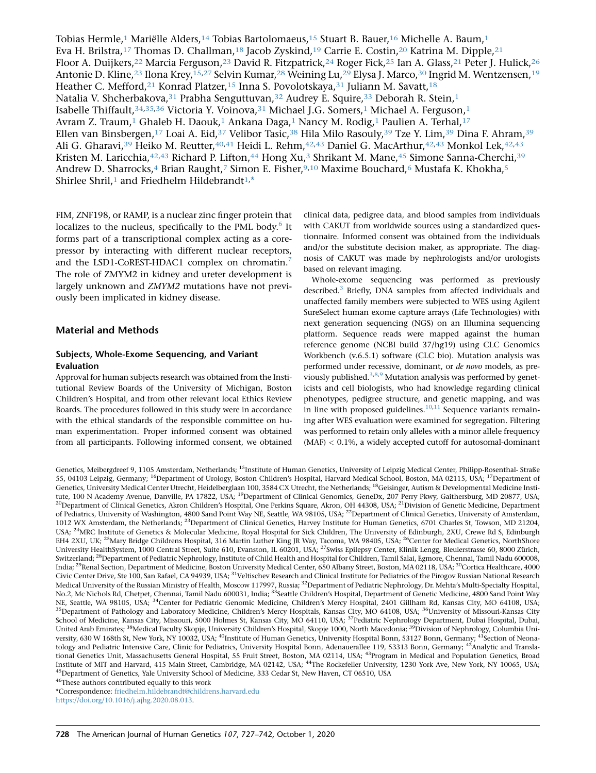Tobias Hermle,<sup>1</sup> Mariëlle Alders,<sup>14</sup> Tobias Bartolomaeus,<sup>15</sup> Stuart B. Bauer,<sup>16</sup> Michelle A. Baum,<sup>1</sup> Eva H. Brilstra,<sup>17</sup> Thomas D. Challman,<sup>18</sup> Jacob Zyskind,<sup>19</sup> Carrie E. Costin,<sup>20</sup> Katrina M. Dipple,<sup>21</sup> Floor A. Duijkers,<sup>22</sup> Marcia Ferguson,<sup>23</sup> David R. Fitzpatrick,<sup>24</sup> Roger Fick,<sup>25</sup> Ian A. Glass,<sup>21</sup> Peter J. Hulick,<sup>26</sup> Antonie D. Kline,<sup>23</sup> Ilona Krey,<sup>15,27</sup> Selvin Kumar,<sup>28</sup> Weining Lu,<sup>29</sup> Elysa J. Marco,<sup>30</sup> Ingrid M. Wentzensen,<sup>19</sup> Heather C. Mefford,<sup>21</sup> Konrad Platzer,<sup>15</sup> Inna S. Povolotskaya,<sup>31</sup> Juliann M. Savatt,<sup>18</sup> Natalia V. Shcherbakova, 31 Prabha Senguttuvan, 32 Audrey E. Squire, 33 Deborah R. Stein, 1 Isabelle Thiffault,34,35,36 Victoria Y. Voinova,31 Michael J.G. Somers,1 Michael A. Ferguson,1 Avram Z. Traum,<sup>1</sup> Ghaleb H. Daouk,<sup>1</sup> Ankana Daga,<sup>1</sup> Nancy M. Rodig,<sup>1</sup> Paulien A. Terhal,<sup>17</sup> Ellen van Binsbergen,<sup>17</sup> Loai A. Eid,<sup>37</sup> Velibor Tasic,<sup>38</sup> Hila Milo Rasouly,<sup>39</sup> Tze Y. Lim,<sup>39</sup> Dina F. Ahram,<sup>39</sup> Ali G. Gharavi,<sup>39</sup> Heiko M. Reutter,<sup>40,41</sup> Heidi L. Rehm,<sup>42,43</sup> Daniel G. MacArthur,<sup>42,43</sup> Monkol Lek,<sup>42,43</sup> Kristen M. Laricchia, <sup>42, 43</sup> Richard P. Lifton, <sup>44</sup> Hong Xu,<sup>3</sup> Shrikant M. Mane, <sup>45</sup> Simone Sanna-Cherchi, <sup>39</sup> Andrew D. Sharrocks,<sup>4</sup> Brian Raught,<sup>7</sup> Simon E. Fisher,<sup>9,10</sup> Maxime Bouchard,<sup>6</sup> Mustafa K. Khokha,<sup>5</sup> Shirlee Shril,<sup>1</sup> and Friedhelm Hildebrandt<sup>1,\*</sup>

FIM, ZNF198, or RAMP, is a nuclear zinc finger protein that localizes to the nucleus, specifically to the PML body.<sup>6</sup> It forms part of a transcriptional complex acting as a corepressor by interacting with different nuclear receptors, and the LSD1-CoREST-HDAC1 complex on chromatin.<sup>7</sup> The role of ZMYM2 in kidney and ureter development is largely unknown and ZMYM2 mutations have not previously been implicated in kidney disease.

# Material and Methods

#### Subjects, Whole-Exome Sequencing, and Variant Evaluation

Approval for human subjects research was obtained from the Institutional Review Boards of the University of Michigan, Boston Children's Hospital, and from other relevant local Ethics Review Boards. The procedures followed in this study were in accordance with the ethical standards of the responsible committee on human experimentation. Proper informed consent was obtained from all participants. Following informed consent, we obtained clinical data, pedigree data, and blood samples from individuals with CAKUT from worldwide sources using a standardized questionnaire. Informed consent was obtained from the individuals and/or the substitute decision maker, as appropriate. The diagnosis of CAKUT was made by nephrologists and/or urologists based on relevant imaging.

Whole-exome sequencing was performed as previously described.<sup>3</sup> Briefly, DNA samples from affected individuals and unaffected family members were subjected to WES using Agilent SureSelect human exome capture arrays (Life Technologies) with next generation sequencing (NGS) on an Illumina sequencing platform. Sequence reads were mapped against the human reference genome (NCBI build 37/hg19) using CLC Genomics Workbench (v.6.5.1) software (CLC bio). Mutation analysis was performed under recessive, dominant, or de novo models, as previously published. $3,8,9$  Mutation analysis was performed by geneticists and cell biologists, who had knowledge regarding clinical phenotypes, pedigree structure, and genetic mapping, and was in line with proposed guidelines. $10,11$  Sequence variants remaining after WES evaluation were examined for segregation. Filtering was performed to retain only alleles with a minor allele frequency (MAF) < 0.1%, a widely accepted cutoff for autosomal-dominant

Genetics, Meibergdreef 9, 1105 Amsterdam, Netherlands; <sup>15</sup>Institute of Human Genetics, University of Leipzig Medical Center, Philipp-Rosenthal- Straße 55, 04103 Leipzig, Germany; <sup>16</sup>Department of Urology, Boston Children's Hospital, Harvard Medical School, Boston, MA 02115, USA; <sup>17</sup>Department of Genetics, University Medical Center Utrecht, Heidelberglaan 100, 3584 CX Utrecht, the Netherlands; <sup>18</sup>Geisinger, Autism & Developmental Medicine Institute, 100 N Academy Avenue, Danville, PA 17822, USA; <sup>19</sup>Department of Clinical Genomics, GeneDx, 207 Perry Pkwy, Gaithersburg, MD 20877, USA; <sup>20</sup>Department of Clinical Genetics, Akron Children's Hospital, One Perkins Square, Akron, OH 44308, USA; <sup>21</sup>Division of Genetic Medicine, Department of Pediatrics, University of Washington, 4800 Sand Point Way NE, Seattle, WA 98105, USA; <sup>22</sup>Department of Clinical Genetics, University of Amsterdam, 1012 WX Amsterdam, the Netherlands; <sup>23</sup>Department of Clinical Genetics, Harvey Institute for Human Genetics, 6701 Charles St, Towson, MD 21204, USA; <sup>24</sup>MRC Institute of Genetics & Molecular Medicine, Royal Hospital for Sick Children, The University of Edinburgh, 2XU, Crewe Rd S, Edinburgh EH4 2XU, UK; <sup>25</sup>Mary Bridge Childrens Hospital, 316 Martin Luther King JR Way, Tacoma, WA 98405, USA; <sup>26</sup>Center for Medical Genetics, NorthShore University HealthSystem, 1000 Central Street, Suite 610, Evanston, IL 60201, USA; <sup>27</sup>Swiss Epilepsy Center, Klinik Lengg, Bleulerstrasse 60, 8000 Zürich, Switzerland; <sup>28</sup>Department of Pediatric Nephrology, Institute of Child Health and Hospital for Children, Tamil Salai, Egmore, Chennai, Tamil Nadu 600008, India; <sup>29</sup>Renal Section, Department of Medicine, Boston University Medical Center, 650 Albany Street, Boston, MA 02118, USA; <sup>30</sup>Cortica Healthcare, 4000 Civic Center Drive, Ste 100, San Rafael, CA 94939, USA; <sup>31</sup>Veltischev Research and Clinical Institute for Pediatrics of the Pirogov Russian National Research Medical University of the Russian Ministry of Health, Moscow 117997, Russia; <sup>32</sup>Department of Pediatric Nephrology, Dr. Mehta's Multi-Specialty Hospital, No.2, Mc Nichols Rd, Chetpet, Chennai, Tamil Nadu 600031, India; <sup>33</sup>Seattle Children's Hospital, Department of Genetic Medicine, 4800 Sand Point Way NE, Seattle, WA 98105, USA; <sup>34</sup>Center for Pediatric Genomic Medicine, Children's Mercy Hospital, 2401 Gillham Rd, Kansas City, MO 64108, USA; <sup>35</sup>Department of Pathology and Laboratory Medicine, Children's Mercy Hospitals, Kansas City, MO 64108, USA; <sup>36</sup>University of Missouri-Kansas City School of Medicine, Kansas City, Missouri, 5000 Holmes St, Kansas City, MO 64110, USA; <sup>37</sup>Pediatric Nephrology Department, Dubai Hospital, Dubai, United Arab Emirates; <sup>38</sup>Medical Faculty Skopje, University Children's Hospital, Skopje 1000, North Macedonia; <sup>39</sup>Division of Nephrology, Columbia University, 630 W 168th St, New York, NY 10032, USA; <sup>40</sup>Institute of Human Genetics, University Hospital Bonn, 53127 Bonn, Germany; <sup>41</sup>Section of Neonatology and Pediatric Intensive Care, Clinic for Pediatrics, University Hospital Bonn, Adenauerallee 119, 53313 Bonn, Germany; <sup>42</sup>Analytic and Translational Genetics Unit, Massachusetts General Hospital, 55 Fruit Street, Boston, MA 02114, USA; <sup>43</sup>Program in Medical and Population Genetics, Broad Institute of MIT and Harvard, 415 Main Street, Cambridge, MA 02142, USA; <sup>44</sup>The Rockefeller University, 1230 York Ave, New York, NY 10065, USA; <sup>45</sup>Department of Genetics, Yale University School of Medicine, 333 Cedar St, New Haven, CT 06510, USA

<sup>46</sup>These authors contributed equally to this work

\*Correspondence: friedhelm.hildebrandt@childrens.harvard.edu https://doi.org/10.1016/j.ajhg.2020.08.013.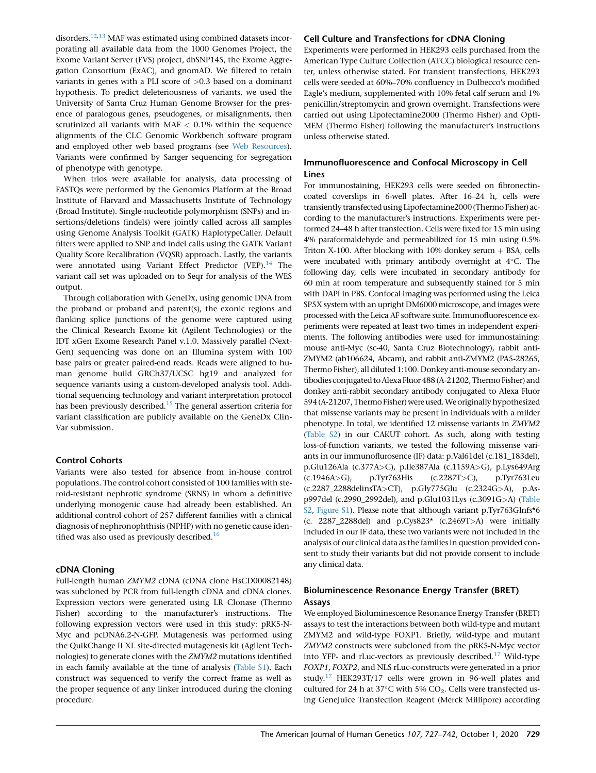disorders.<sup>12,13</sup> MAF was estimated using combined datasets incorporating all available data from the 1000 Genomes Project, the Exome Variant Server (EVS) project, dbSNP145, the Exome Aggregation Consortium (ExAC), and gnomAD. We filtered to retain variants in genes with a PLI score of  $>0.3$  based on a dominant hypothesis. To predict deleteriousness of variants, we used the University of Santa Cruz Human Genome Browser for the presence of paralogous genes, pseudogenes, or misalignments, then scrutinized all variants with MAF  $< 0.1\%$  within the sequence alignments of the CLC Genomic Workbench software program and employed other web based programs (see Web Resources). Variants were confirmed by Sanger sequencing for segregation of phenotype with genotype.

When trios were available for analysis, data processing of FASTQs were performed by the Genomics Platform at the Broad Institute of Harvard and Massachusetts Institute of Technology (Broad Institute). Single-nucleotide polymorphism (SNPs) and insertions/deletions (indels) were jointly called across all samples using Genome Analysis Toolkit (GATK) HaplotypeCaller. Default filters were applied to SNP and indel calls using the GATK Variant Quality Score Recalibration (VQSR) approach. Lastly, the variants were annotated using Variant Effect Predictor (VEP).<sup>14</sup> The variant call set was uploaded on to Seqr for analysis of the WES output.

Through collaboration with GeneDx, using genomic DNA from the proband or proband and parent(s), the exonic regions and flanking splice junctions of the genome were captured using the Clinical Research Exome kit (Agilent Technologies) or the IDT xGen Exome Research Panel v.1.0. Massively parallel (Next-Gen) sequencing was done on an Illumina system with 100 base pairs or greater paired-end reads. Reads were aligned to human genome build GRCh37/UCSC hg19 and analyzed for sequence variants using a custom-developed analysis tool. Additional sequencing technology and variant interpretation protocol has been previously described.<sup>15</sup> The general assertion criteria for variant classification are publicly available on the GeneDx Clin-Var submission.

# Control Cohorts

Variants were also tested for absence from in-house control populations. The control cohort consisted of 100 families with steroid-resistant nephrotic syndrome (SRNS) in whom a definitive underlying monogenic cause had already been established. An additional control cohort of 257 different families with a clinical diagnosis of nephronophthisis (NPHP) with no genetic cause identified was also used as previously described.<sup>16</sup>

#### cDNA Cloning

Full-length human ZMYM2 cDNA (cDNA clone HsCD00082148) was subcloned by PCR from full-length cDNA and cDNA clones. Expression vectors were generated using LR Clonase (Thermo Fisher) according to the manufacturer's instructions. The following expression vectors were used in this study: pRK5-N-Myc and pcDNA6.2-N-GFP. Mutagenesis was performed using the QuikChange II XL site-directed mutagenesis kit (Agilent Technologies) to generate clones with the ZMYM2 mutations identified in each family available at the time of analysis (Table S1). Each construct was sequenced to verify the correct frame as well as the proper sequence of any linker introduced during the cloning procedure.

# Cell Culture and Transfections for cDNA Cloning

Experiments were performed in HEK293 cells purchased from the American Type Culture Collection (ATCC) biological resource center, unless otherwise stated. For transient transfections, HEK293 cells were seeded at 60%–70% confluency in Dulbecco's modified Eagle's medium, supplemented with 10% fetal calf serum and 1% penicillin/streptomycin and grown overnight. Transfections were carried out using Lipofectamine2000 (Thermo Fisher) and Opti-MEM (Thermo Fisher) following the manufacturer's instructions unless otherwise stated.

# Immunofluorescence and Confocal Microscopy in Cell Lines

For immunostaining, HEK293 cells were seeded on fibronectincoated coverslips in 6-well plates. After 16–24 h, cells were transiently transfected using Lipofectamine2000 (Thermo Fisher) according to the manufacturer's instructions. Experiments were performed 24–48 h after transfection. Cells were fixed for 15 min using 4% paraformaldehyde and permeabilized for 15 min using 0.5% Triton X-100. After blocking with  $10\%$  donkey serum  $+$  BSA, cells were incubated with primary antibody overnight at  $4^{\circ}$ C. The following day, cells were incubated in secondary antibody for 60 min at room temperature and subsequently stained for 5 min with DAPI in PBS. Confocal imaging was performed using the Leica SP5X system with an upright DM6000 microscope, and images were processed with the Leica AF software suite. Immunofluorescence experiments were repeated at least two times in independent experiments. The following antibodies were used for immunostaining: mouse anti-Myc (sc-40, Santa Cruz Biotechnology), rabbit anti-ZMYM2 (ab106624, Abcam), and rabbit anti-ZMYM2 (PA5-28265, Thermo Fisher), all diluted 1:100. Donkey anti-mouse secondary antibodies conjugated toAlexa Fluor 488 (A-21202, Thermo Fisher) and donkey anti-rabbit secondary antibody conjugated to Alexa Fluor 594 (A-21207, Thermo Fisher) were used. We originally hypothesized that missense variants may be present in individuals with a milder phenotype. In total, we identified 12 missense variants in ZMYM2 (Table S2) in our CAKUT cohort. As such, along with testing loss-of-function variants, we tested the following missense variants in our immunoflurosence (IF) data: p.Val61del (c.181\_183del), p.Glu126Ala (c.377A>C), p.Ile387Ala (c.1159A>G), p.Lys649Arg (c.1946A>G), p.Tyr763His (c.2287T>C), p.Tyr763Leu (c.2287\_2288delinsTA>CT), p.Gly775Glu (c.2324G>A), p.Asp997del (c.2990\_2992del), and p.Glu1031Lys (c.3091G>A) (Table S2, Figure S1). Please note that although variant p.Tyr763Glnfs\*6 (c. 2287\_2288del) and p.Cys823\* (c.2469T>A) were initially included in our IF data, these two variants were not included in the analysis of our clinical data as the families in question provided consent to study their variants but did not provide consent to include any clinical data.

# Bioluminescence Resonance Energy Transfer (BRET) Assays

We employed Bioluminescence Resonance Energy Transfer (BRET) assays to test the interactions between both wild-type and mutant ZMYM2 and wild-type FOXP1. Briefly, wild-type and mutant ZMYM2 constructs were subcloned from the pRK5-N-Myc vector into YFP- and rLuc-vectors as previously described.<sup>17</sup> Wild-type FOXP1, FOXP2, and NLS rLuc-constructs were generated in a prior study.<sup>17</sup> HEK293T/17 cells were grown in 96-well plates and cultured for 24 h at 37 $\degree$ C with 5% CO<sub>2</sub>. Cells were transfected using GeneJuice Transfection Reagent (Merck Millipore) according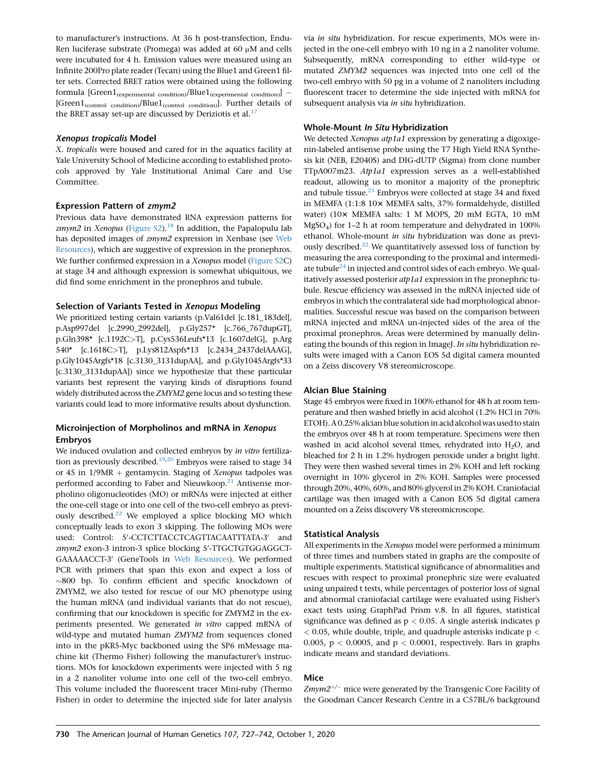to manufacturer's instructions. At 36 h post-transfection, Endu-Ren luciferase substrate (Promega) was added at 60  $\mu$ M and cells were incubated for 4 h. Emission values were measured using an Infinite 200Pro plate reader (Tecan) using the Blue1 and Green1 filter sets. Corrected BRET ratios were obtained using the following formula  $[Green1<sub>(experimental</sub> condition)/Blue1<sub>(experimental</sub> condition)]$  – [Green1(control condition)/Blue1(control condition)]. Further details of the BRET assay set-up are discussed by Deriziotis et al.<sup>17</sup>

#### Xenopus tropicalis Model

X. tropicalis were housed and cared for in the aquatics facility at Yale University School of Medicine according to established protocols approved by Yale Institutional Animal Care and Use Committee.

# Expression Pattern of zmym2

Previous data have demonstrated RNA expression patterns for  $z<sub>m</sub>ym2$  in Xenopus (Figure S2).<sup>18</sup> In addition, the Papalopulu lab has deposited images of zmym2 expression in Xenbase (see Web Resources), which are suggestive of expression in the pronephros. We further confirmed expression in a Xenopus model (Figure S2C) at stage 34 and although expression is somewhat ubiquitous, we did find some enrichment in the pronephros and tubule.

#### Selection of Variants Tested in Xenopus Modeling

We prioritized testing certain variants (p.Val61del [c.181\_183del], p.Asp997del [c.2990\_2992del], p.Gly257\* [c.766\_767dupGT], p.Gln398\* [c.1192C>T], p.Cys536Leufs\*13 [c.1607delG], p.Arg 540\* [c.1618C>T], p.Lys812Aspfs\*13 [c.2434\_2437delAAAG], p.Gly1045Argfs\*18 [c.3130\_3131dupAA], and p.Gly1045Argfs\*33 [c.3130\_3131dupAA]) since we hypothesize that these particular variants best represent the varying kinds of disruptions found widely distributed across the ZMYM2 gene locus and so testing these variants could lead to more informative results about dysfunction.

# Microinjection of Morpholinos and mRNA in Xenopus Embryos

We induced ovulation and collected embryos by in vitro fertilization as previously described.<sup>19,20</sup> Embryos were raised to stage 34 or 45 in  $1/9MR$  + gentamycin. Staging of Xenopus tadpoles was performed according to Faber and Nieuwkoop.<sup>21</sup> Antisense morpholino oligonucleotides (MO) or mRNAs were injected at either the one-cell stage or into one cell of the two-cell embryo as previously described.<sup>22</sup> We employed a splice blocking MO which conceptually leads to exon 3 skipping. The following MOs were used: Control: 5'-CCTCTTACCTCAGTTACAATTTATA-3' and zmym2 exon-3 intron-3 splice blocking 5'-TTGCTGTGGAGGCT-GAAAAACCT-3' (GeneTools in Web Resources). We performed PCR with primers that span this exon and expect a loss of  $\sim$ 800 bp. To confirm efficient and specific knockdown of ZMYM2, we also tested for rescue of our MO phenotype using the human mRNA (and individual variants that do not rescue), confirming that our knockdown is specific for ZMYM2 in the experiments presented. We generated in vitro capped mRNA of wild-type and mutated human ZMYM2 from sequences cloned into in the pKR5-Myc backboned using the SP6 mMessage machine kit (Thermo Fisher) following the manufacturer's instructions. MOs for knockdown experiments were injected with 5 ng in a 2 nanoliter volume into one cell of the two-cell embryo. This volume included the fluorescent tracer Mini-ruby (Thermo Fisher) in order to determine the injected side for later analysis

via in situ hybridization. For rescue experiments, MOs were injected in the one-cell embryo with 10 ng in a 2 nanoliter volume. Subsequently, mRNA corresponding to either wild-type or mutated ZMYM2 sequences was injected into one cell of the two-cell embryo with 50 pg in a volume of 2 nanoliters including fluorescent tracer to determine the side injected with mRNA for subsequent analysis via in situ hybridization.

#### Whole-Mount In Situ Hybridization

We detected Xenopus atp1a1 expression by generating a digoxigenin-labeled antisense probe using the T7 High Yield RNA Synthesis kit (NEB, E2040S) and DIG-dUTP (Sigma) from clone number TTpA007m23. Atp1a1 expression serves as a well-established readout, allowing us to monitor a majority of the pronephric and tubule tissue. $^{23}$  Embryos were collected at stage 34 and fixed in MEMFA (1:1:8 10× MEMFA salts, 37% formaldehyde, distilled water) (103 MEMFA salts: 1 M MOPS, 20 mM EGTA, 10 mM MgSO4) for 1–2 h at room temperature and dehydrated in 100% ethanol. Whole-mount in situ hybridization was done as previously described.<sup>22</sup> We quantitatively assessed loss of function by measuring the area corresponding to the proximal and intermediate tubule<sup>24</sup> in injected and control sides of each embryo. We qualitatively assessed posterior atp1a1 expression in the pronephric tubule. Rescue efficiency was assessed in the mRNA injected side of embryos in which the contralateral side had morphological abnormalities. Successful rescue was based on the comparison between mRNA injected and mRNA un-injected sides of the area of the proximal pronephros. Areas were determined by manually delineating the bounds of this region in ImageJ. In situ hybridization results were imaged with a Canon EOS 5d digital camera mounted on a Zeiss discovery V8 stereomicroscope.

# Alcian Blue Staining

Stage 45 embryos were fixed in 100% ethanol for 48 h at room temperature and then washed briefly in acid alcohol (1.2% HCl in 70% ETOH). A 0.25% alcian blue solution in acid alcohol was used to stain the embryos over 48 h at room temperature. Specimens were then washed in acid alcohol several times, rehydrated into  $H_2O$ , and bleached for 2 h in 1.2% hydrogen peroxide under a bright light. They were then washed several times in 2% KOH and left rocking overnight in 10% glycerol in 2% KOH. Samples were processed through 20%, 40%, 60%, and 80% glycerol in 2% KOH. Craniofacial cartilage was then imaged with a Canon EOS 5d digital camera mounted on a Zeiss discovery V8 stereomicroscope.

# Statistical Analysis

All experiments in the Xenopus model were performed a minimum of three times and numbers stated in graphs are the composite of multiple experiments. Statistical significance of abnormalities and rescues with respect to proximal pronephric size were evaluated using unpaired t tests, while percentages of posterior loss of signal and abnormal craniofacial cartilage were evaluated using Fisher's exact tests using GraphPad Prism v.8. In all figures, statistical significance was defined as  $p < 0.05$ . A single asterisk indicates  $p$  $<$  0.05, while double, triple, and quadruple asterisks indicate p  $<$ 0.005,  $p < 0.0005$ , and  $p < 0.0001$ , respectively. Bars in graphs indicate means and standard deviations.

# Mice

 $Zmym2^{+/-}$  mice were generated by the Transgenic Core Facility of the Goodman Cancer Research Centre in a C57BL/6 background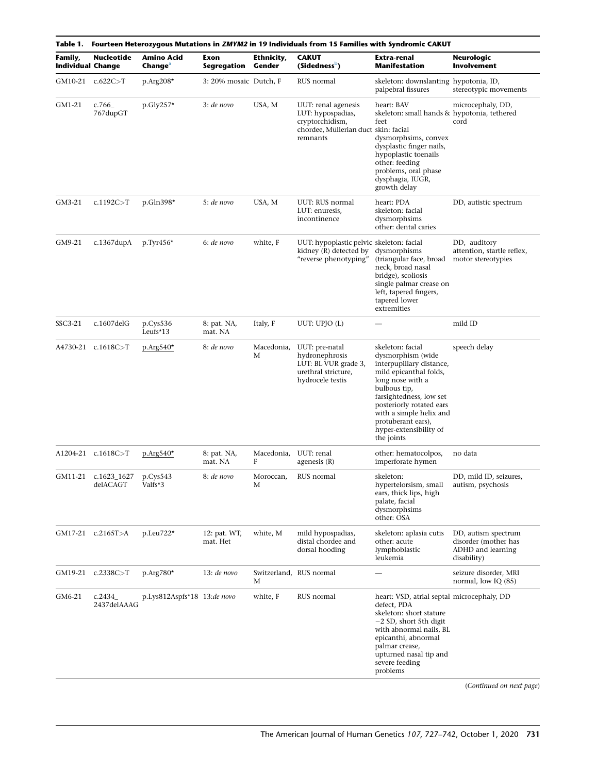|                                     | Table 1.    Fourteen Heterozygous Mutations in <i>ZMYM2</i> in 19 Individuals from 15 Families with Syndromic CAKUT |                                          |                          |                      |                                                                                                                 |                                                                                                                                                                                                                                                                                 |                                                                                 |  |  |  |
|-------------------------------------|---------------------------------------------------------------------------------------------------------------------|------------------------------------------|--------------------------|----------------------|-----------------------------------------------------------------------------------------------------------------|---------------------------------------------------------------------------------------------------------------------------------------------------------------------------------------------------------------------------------------------------------------------------------|---------------------------------------------------------------------------------|--|--|--|
| Family,<br><b>Individual Change</b> | <b>Nucleotide</b>                                                                                                   | <b>Amino Acid</b><br>Change <sup>a</sup> | Exon<br>Segregation      | Ethnicity,<br>Gender | <b>CAKUT</b><br>(Sidedness <sup>b</sup> )                                                                       | Extra-renal<br>Manifestation                                                                                                                                                                                                                                                    | Neurologic<br>Involvement                                                       |  |  |  |
|                                     | GM10-21 c.622C>T                                                                                                    | $p \text{Arg} 208*$                      | 3: 20% mosaic Dutch, F   |                      | RUS normal                                                                                                      | skeleton: downslanting hypotonia, ID,<br>palpebral fissures                                                                                                                                                                                                                     | stereotypic movements                                                           |  |  |  |
| GM1-21                              | c.766<br>767dupGT                                                                                                   | $p.Gly257*$                              | $3:$ de novo             | USA, M               | UUT: renal agenesis<br>LUT: hypospadias,<br>cryptorchidism,<br>chordee, Müllerian duct skin: facial<br>remnants | heart: BAV<br>skeleton: small hands & hypotonia, tethered<br>feet<br>dysmorphsims, convex<br>dysplastic finger nails,<br>hypoplastic toenails<br>other: feeding<br>problems, oral phase<br>dysphagia, IUGR,<br>growth delay                                                     | microcephaly, DD,<br>cord                                                       |  |  |  |
| GM3-21                              | c.1192C > T                                                                                                         | p.Gln398*                                | 5: de novo               | USA, M               | UUT: RUS normal<br>LUT: enuresis,<br>incontinence                                                               | heart: PDA<br>skeleton: facial<br>dysmorphsims<br>other: dental caries                                                                                                                                                                                                          | DD, autistic spectrum                                                           |  |  |  |
| GM9-21                              | c.1367 $du$ p $A$                                                                                                   | p.Tyr456*                                | 6: de novo               | white, F             | UUT: hypoplastic pelvic skeleton: facial<br>kidney (R) detected by<br>"reverse phenotyping"                     | dysmorphisms<br>(triangular face, broad<br>neck, broad nasal<br>bridge), scoliosis<br>single palmar crease on<br>left, tapered fingers,<br>tapered lower<br>extremities                                                                                                         | DD, auditory<br>attention, startle reflex,<br>motor stereotypies                |  |  |  |
| SSC3-21                             | $c.1607$ del $G$                                                                                                    | p.Cys536<br>Leufs $*13$                  | 8: pat. NA,<br>mat. NA   | Italy, F             | UUT: UPJO (L)                                                                                                   |                                                                                                                                                                                                                                                                                 | mild ID                                                                         |  |  |  |
|                                     | A4730-21 c.1618C>T                                                                                                  | $p \cdot \text{Arg} 540^*$               | 8: de novo               | Macedonia,<br>M      | UUT: pre-natal<br>hydronephrosis<br>LUT: BL VUR grade 3,<br>urethral stricture,<br>hydrocele testis             | skeleton: facial<br>dysmorphism (wide<br>interpupillary distance,<br>mild epicanthal folds,<br>long nose with a<br>bulbous tip,<br>farsightedness, low set<br>posteriorly rotated ears<br>with a simple helix and<br>protuberant ears),<br>hyper-extensibility of<br>the joints | speech delay                                                                    |  |  |  |
|                                     | A1204-21 c.1618C>T                                                                                                  | $p.Arg540*$                              | 8: pat. NA,<br>mat. NA   | Macedonia,<br>F      | UUT: renal<br>agenesis $(R)$                                                                                    | other: hematocolpos,<br>imperforate hymen                                                                                                                                                                                                                                       | no data                                                                         |  |  |  |
|                                     | GM11-21 c.1623 1627<br>delACAGT                                                                                     | p.Cys543<br>Valfs*3                      | 8: de novo               | Moroccan,<br>М       | RUS normal                                                                                                      | skeleton:<br>hypertelorsism, small<br>ears, thick lips, high<br>palate, facial<br>dysmorphsims<br>other: OSA                                                                                                                                                                    | DD, mild ID, seizures,<br>autism, psychosis                                     |  |  |  |
|                                     | GM17-21 c.2165T>A                                                                                                   | $p.$ Leu $722*$                          | 12: pat. WT,<br>mat. Het | white, M             | mild hypospadias,<br>distal chordee and<br>dorsal hooding                                                       | skeleton: aplasia cutis<br>other: acute<br>lymphoblastic<br>leukemia                                                                                                                                                                                                            | DD, autism spectrum<br>disorder (mother has<br>ADHD and learning<br>disability) |  |  |  |
|                                     | GM19-21 c.2338C>T                                                                                                   | $p. Arg780*$                             | 13: de novo              | M                    | Switzerland, RUS normal                                                                                         |                                                                                                                                                                                                                                                                                 | seizure disorder, MRI<br>normal, low IQ (85)                                    |  |  |  |
| GM6-21                              | c.2434<br>2437delAAAG                                                                                               | p.Lys812Aspfs*18 13:de novo              |                          | white, F             | RUS normal                                                                                                      | heart: VSD, atrial septal microcephaly, DD<br>defect, PDA<br>skeleton: short stature<br>$-2$ SD, short 5th digit<br>with abnormal nails, BL<br>epicanthi, abnormal<br>palmar crease,<br>upturned nasal tip and<br>severe feeding<br>problems                                    |                                                                                 |  |  |  |

(Continued on next page)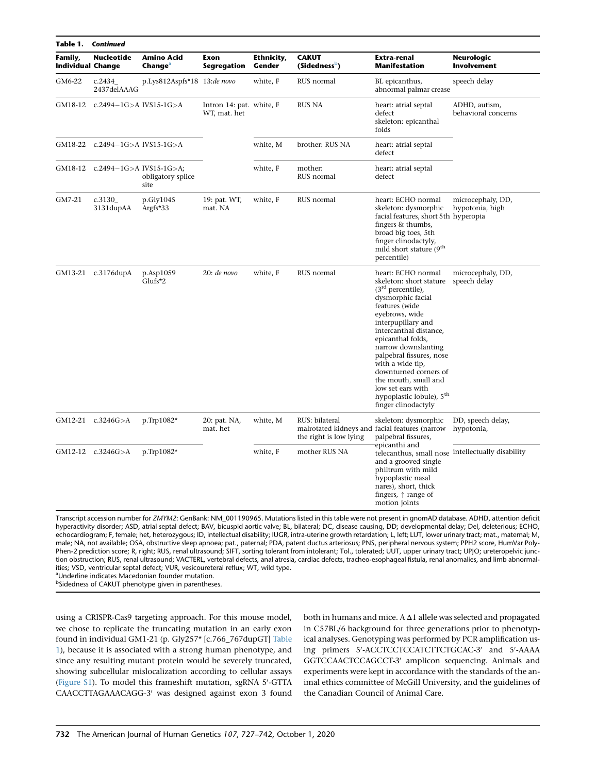| Table 1.                            | <b>Continued</b>        |                                          |                                          |                      |                                           |                                                                                                                                                                                                                                                                                                                                                                                                                 |                                      |  |  |  |  |
|-------------------------------------|-------------------------|------------------------------------------|------------------------------------------|----------------------|-------------------------------------------|-----------------------------------------------------------------------------------------------------------------------------------------------------------------------------------------------------------------------------------------------------------------------------------------------------------------------------------------------------------------------------------------------------------------|--------------------------------------|--|--|--|--|
| Family,<br><b>Individual Change</b> | Nucleotide              | <b>Amino Acid</b><br>Change <sup>a</sup> | Exon<br>Segregation                      | Ethnicity,<br>Gender | <b>CAKUT</b><br>(Sidedness <sup>b</sup> ) | Extra-renal<br><b>Manifestation</b>                                                                                                                                                                                                                                                                                                                                                                             | Neurologic<br>Involvement            |  |  |  |  |
| GM6-22                              | c.2434<br>2437delAAAG   | p.Lys812Aspfs*18 13:de novo              |                                          | white, F             | RUS normal                                | BL epicanthus,<br>abnormal palmar crease                                                                                                                                                                                                                                                                                                                                                                        | speech delay                         |  |  |  |  |
| GM18-12                             | c.2494-1G>A IVS15-1G>A  |                                          | Intron 14: pat. white, F<br>WT, mat. het |                      | <b>RUS NA</b>                             | heart: atrial septal<br>defect<br>skeleton: epicanthal<br>folds                                                                                                                                                                                                                                                                                                                                                 | ADHD, autism,<br>behavioral concerns |  |  |  |  |
| GM18-22                             | c.2494-1G>A IVS15-1G>A  |                                          |                                          | white, M             | brother: RUS NA                           | heart: atrial septal<br>defect                                                                                                                                                                                                                                                                                                                                                                                  |                                      |  |  |  |  |
| GM18-12                             | c.2494-1G>A IVS15-1G>A; | obligatory splice<br>site                |                                          | white, F             | mother:<br>RUS normal                     | heart: atrial septal<br>defect                                                                                                                                                                                                                                                                                                                                                                                  |                                      |  |  |  |  |
| GM7-21                              | c.3130<br>3131dupAA     | p.Gly1045<br>Argfs* $33$                 | 19: pat. WT,<br>mat. NA                  | white, F             | RUS normal                                | heart: ECHO normal<br>skeleton: dysmorphic<br>facial features, short 5th hyperopia<br>fingers & thumbs,<br>broad big toes, 5th<br>finger clinodactyly,<br>mild short stature (9 <sup>th</sup><br>percentile)                                                                                                                                                                                                    | microcephaly, DD,<br>hypotonia, high |  |  |  |  |
|                                     | GM13-21 c.3176dupA      | p.Asp1059<br>Glufs*2                     | $20:de\;novo$                            | white, F             | RUS normal                                | heart: ECHO normal<br>skeleton: short stature<br>$(3rd percentile)$ ,<br>dysmorphic facial<br>features (wide<br>eyebrows, wide<br>interpupillary and<br>intercanthal distance,<br>epicanthal folds,<br>narrow downslanting<br>palpebral fissures, nose<br>with a wide tip,<br>downturned corners of<br>the mouth, small and<br>low set ears with<br>hypoplastic lobule), 5 <sup>th</sup><br>finger clinodactyly | microcephaly, DD,<br>speech delay    |  |  |  |  |
|                                     | GM12-21 c.3246G>A       | p.Trp1082*                               | 20: pat. NA,<br>mat. het                 | white, M             | RUS: bilateral<br>the right is low lying  | skeleton: dysmorphic<br>malrotated kidneys and facial features (narrow<br>palpebral fissures,<br>epicanthi and<br>telecanthus, small nose intellectually disability<br>and a grooved single<br>philtrum with mild<br>hypoplastic nasal<br>nares), short, thick<br>fingers, $\uparrow$ range of<br>motion joints                                                                                                 | DD, speech delay,<br>hypotonia,      |  |  |  |  |
|                                     | GM12-12 c.3246G>A       | p.Trp1082*                               |                                          | white, F             | mother RUS NA                             |                                                                                                                                                                                                                                                                                                                                                                                                                 |                                      |  |  |  |  |

Transcript accession number for ZMYM2: GenBank: NM\_001190965. Mutations listed in this table were not present in gnomAD database. ADHD, attention deficit hyperactivity disorder; ASD, atrial septal defect; BAV, bicuspid aortic valve; BL, bilateral; DC, disease causing, DD; developmental delay; Del, deleterious; ECHO, echocardiogram; F, female; het, heterozygous; ID, intellectual disability; IUGR, intra-uterine growth retardation; L, left; LUT, lower urinary tract; mat., maternal; M, male; NA, not available; OSA, obstructive sleep apnoea; pat., paternal; PDA, patent ductus arteriosus; PNS, peripheral nervous system; PPH2 score, HumVar Poly-Phen-2 prediction score; R, right; RUS, renal ultrasound; SIFT, sorting tolerant from intolerant; Tol., tolerated; UUT, upper urinary tract; UPJO; ureteropelvic junction obstruction; RUS, renal ultrasound; VACTERL, vertebral defects, anal atresia, cardiac defects, tracheo-esophageal fistula, renal anomalies, and limb abnormalities; VSD, ventricular septal defect; VUR, vesicoureteral reflux; WT, wild type.

<sup>a</sup>Underline indicates Macedonian founder mutation.

<sup>b</sup>Sidedness of CAKUT phenotype given in parentheses.

using a CRISPR-Cas9 targeting approach. For this mouse model, we chose to replicate the truncating mutation in an early exon found in individual GM1-21 (p. Gly257\* [c.766\_767dupGT] Table 1), because it is associated with a strong human phenotype, and since any resulting mutant protein would be severely truncated, showing subcellular mislocalization according to cellular assays (Figure S1). To model this frameshift mutation, sgRNA 5'-GTTA CAACCTTAGAAACAGG-3' was designed against exon 3 found both in humans and mice. A  $\Delta$ 1 allele was selected and propagated in C57BL/6 background for three generations prior to phenotypical analyses. Genotyping was performed by PCR amplification using primers 5'-ACCTCCTCCATCTTCTGCAC-3' and 5'-AAAA GGTCCAACTCCAGCCT-3' amplicon sequencing. Animals and experiments were kept in accordance with the standards of the animal ethics committee of McGill University, and the guidelines of the Canadian Council of Animal Care.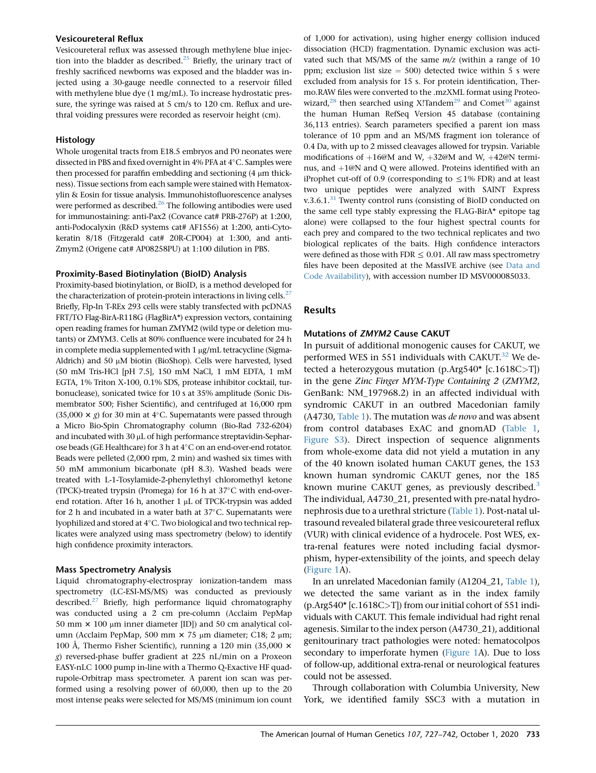#### Vesicoureteral Reflux

Vesicoureteral reflux was assessed through methylene blue injection into the bladder as described.<sup>25</sup> Briefly, the urinary tract of freshly sacrificed newborns was exposed and the bladder was injected using a 30-gauge needle connected to a reservoir filled with methylene blue dye (1 mg/mL). To increase hydrostatic pressure, the syringe was raised at 5 cm/s to 120 cm. Reflux and urethral voiding pressures were recorded as reservoir height (cm).

#### **Histology**

Whole urogenital tracts from E18.5 embryos and P0 neonates were dissected in PBS and fixed overnight in 4% PFA at 4°C. Samples were then processed for paraffin embedding and sectioning  $(4 \mu m)$  thickness). Tissue sections from each sample were stained with Hematoxylin & Eosin for tissue analysis. Immunohistofluorescence analyses were performed as described.<sup>26</sup> The following antibodies were used for immunostaining: anti-Pax2 (Covance cat# PRB-276P) at 1:200, anti-Podocalyxin (R&D systems cat# AF1556) at 1:200, anti-Cytokeratin 8/18 (Fitzgerald cat# 20R-CP004) at 1:300, and anti-Zmym2 (Origene cat# AP08258PU) at 1:100 dilution in PBS.

#### Proximity-Based Biotinylation (BioID) Analysis

Proximity-based biotinylation, or BioID, is a method developed for the characterization of protein-protein interactions in living cells. $^{27}$ Briefly, Flp-In T-REx 293 cells were stably transfected with pcDNA5 FRT/TO Flag-BirA-R118G (FlagBirA\*) expression vectors, containing open reading frames for human ZMYM2 (wild type or deletion mutants) or ZMYM3. Cells at 80% confluence were incubated for 24 h in complete media supplemented with  $1 \mu g/mL$  tetracycline (Sigma-Aldrich) and 50 µM biotin (BioShop). Cells were harvested, lysed (50 mM Tris-HCl [pH 7.5], 150 mM NaCl, 1 mM EDTA, 1 mM EGTA, 1% Triton X-100, 0.1% SDS, protease inhibitor cocktail, turbonuclease), sonicated twice for 10 s at 35% amplitude (Sonic Dismembrator 500; Fisher Scientific), and centrifuged at 16,000 rpm  $(35,000 \times g)$  for 30 min at 4°C. Supernatants were passed through a Micro Bio-Spin Chromatography column (Bio-Rad 732-6204) and incubated with  $30 \mu$ L of high performance streptavidin-Sepharose beads (GE Healthcare) for 3 h at  $4^{\circ}$ C on an end-over-end rotator. Beads were pelleted (2,000 rpm, 2 min) and washed six times with 50 mM ammonium bicarbonate (pH 8.3). Washed beads were treated with L-1-Tosylamide-2-phenylethyl chloromethyl ketone (TPCK)-treated trypsin (Promega) for 16 h at  $37^{\circ}$ C with end-overend rotation. After 16 h, another 1  $\mu$ L of TPCK-trypsin was added for 2 h and incubated in a water bath at  $37^{\circ}$ C. Supernatants were lyophilized and stored at  $4^{\circ}$ C. Two biological and two technical replicates were analyzed using mass spectrometry (below) to identify high confidence proximity interactors.

# Mass Spectrometry Analysis

Liquid chromatography-electrospray ionization-tandem mass spectrometry (LC-ESI-MS/MS) was conducted as previously described.<sup>27</sup> Briefly, high performance liquid chromatography was conducted using a 2 cm pre-column (Acclaim PepMap 50 mm  $\times$  100 µm inner diameter [ID]) and 50 cm analytical column (Acclaim PepMap, 500 mm  $\times$  75 µm diameter; C18; 2 µm; 100 Å, Thermo Fisher Scientific), running a 120 min (35,000  $\times$ g) reversed-phase buffer gradient at 225 nL/min on a Proxeon EASY-nLC 1000 pump in-line with a Thermo Q-Exactive HF quadrupole-Orbitrap mass spectrometer. A parent ion scan was performed using a resolving power of 60,000, then up to the 20 most intense peaks were selected for MS/MS (minimum ion count of 1,000 for activation), using higher energy collision induced dissociation (HCD) fragmentation. Dynamic exclusion was activated such that MS/MS of the same  $m/z$  (within a range of 10 ppm; exclusion list size  $= 500$ ) detected twice within 5 s were excluded from analysis for 15 s. For protein identification, Thermo.RAW files were converted to the .mzXML format using Proteowizard,<sup>28</sup> then searched using X!Tandem<sup>29</sup> and Comet<sup>30</sup> against the human Human RefSeq Version 45 database (containing 36,113 entries). Search parameters specified a parent ion mass tolerance of 10 ppm and an MS/MS fragment ion tolerance of 0.4 Da, with up to 2 missed cleavages allowed for trypsin. Variable modifications of  $+16@M$  and W,  $+32@M$  and W,  $+42@N$  terminus, and  $+1@N$  and Q were allowed. Proteins identified with an iProphet cut-off of 0.9 (corresponding to  $\leq$  1% FDR) and at least two unique peptides were analyzed with SAINT Express v.3.6.1. $31$  Twenty control runs (consisting of BioID conducted on the same cell type stably expressing the FLAG-BirA\* epitope tag alone) were collapsed to the four highest spectral counts for each prey and compared to the two technical replicates and two biological replicates of the baits. High confidence interactors were defined as those with FDR  $\leq$  0.01. All raw mass spectrometry files have been deposited at the MassIVE archive (see Data and Code Availability), with accession number ID MSV000085033.

# **Results**

#### Mutations of ZMYM2 Cause CAKUT

In pursuit of additional monogenic causes for CAKUT, we performed WES in 551 individuals with CAKUT. $32$  We detected a heterozygous mutation (p.Arg540\* [c.1618C>T]) in the gene Zinc Finger MYM-Type Containing 2 (ZMYM2, GenBank: NM\_197968.2) in an affected individual with syndromic CAKUT in an outbred Macedonian family (A4730, Table 1). The mutation was de novo and was absent from control databases ExAC and gnomAD (Table 1, Figure S3). Direct inspection of sequence alignments from whole-exome data did not yield a mutation in any of the 40 known isolated human CAKUT genes, the 153 known human syndromic CAKUT genes, nor the 185 known murine CAKUT genes, as previously described. $3$ The individual, A4730\_21, presented with pre-natal hydronephrosis due to a urethral stricture (Table 1). Post-natal ultrasound revealed bilateral grade three vesicoureteral reflux (VUR) with clinical evidence of a hydrocele. Post WES, extra-renal features were noted including facial dysmorphism, hyper-extensibility of the joints, and speech delay (Figure 1A).

In an unrelated Macedonian family (A1204\_21, Table 1), we detected the same variant as in the index family  $(p.\text{Arg}540*$  [c.1618C>T]) from our initial cohort of 551 individuals with CAKUT. This female individual had right renal agenesis. Similar to the index person (A4730\_21), additional genitourinary tract pathologies were noted: hematocolpos secondary to imperforate hymen (Figure 1A). Due to loss of follow-up, additional extra-renal or neurological features could not be assessed.

Through collaboration with Columbia University, New York, we identified family SSC3 with a mutation in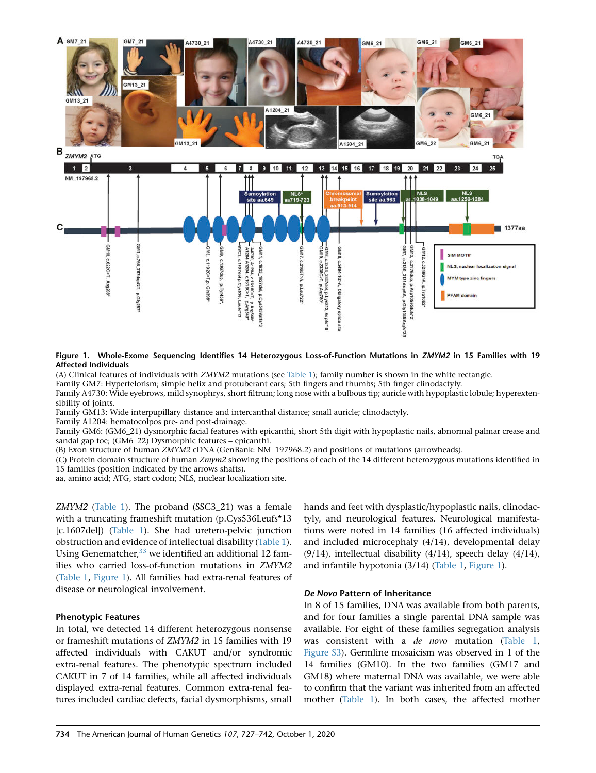

Figure 1. Whole-Exome Sequencing Identifies 14 Heterozygous Loss-of-Function Mutations in ZMYM2 in 15 Families with 19 Affected Individuals

(A) Clinical features of individuals with ZMYM2 mutations (see Table 1); family number is shown in the white rectangle.

Family GM7: Hypertelorism; simple helix and protuberant ears; 5th fingers and thumbs; 5th finger clinodactyly.

Family A4730: Wide eyebrows, mild synophrys, short filtrum; long nose with a bulbous tip; auricle with hypoplastic lobule; hyperextensibility of joints.

Family GM13: Wide interpupillary distance and intercanthal distance; small auricle; clinodactyly.

Family A1204: hematocolpos pre- and post-drainage.

Family GM6: (GM6\_21) dysmorphic facial features with epicanthi, short 5th digit with hypoplastic nails, abnormal palmar crease and sandal gap toe; (GM6\_22) Dysmorphic features – epicanthi.

(B) Exon structure of human ZMYM2 cDNA (GenBank: NM\_197968.2) and positions of mutations (arrowheads).

(C) Protein domain structure of human Zmym2 showing the positions of each of the 14 different heterozygous mutations identified in 15 families (position indicated by the arrows shafts).

aa, amino acid; ATG, start codon; NLS, nuclear localization site.

ZMYM2 (Table 1). The proband (SSC3\_21) was a female with a truncating frameshift mutation (p.Cys536Leufs\*13 [c.1607del]) (Table 1). She had uretero-pelvic junction obstruction and evidence of intellectual disability (Table 1). Using Genematcher,  $33$  we identified an additional 12 families who carried loss-of-function mutations in ZMYM2 (Table 1, Figure 1). All families had extra-renal features of disease or neurological involvement.

#### Phenotypic Features

In total, we detected 14 different heterozygous nonsense or frameshift mutations of ZMYM2 in 15 families with 19 affected individuals with CAKUT and/or syndromic extra-renal features. The phenotypic spectrum included CAKUT in 7 of 14 families, while all affected individuals displayed extra-renal features. Common extra-renal features included cardiac defects, facial dysmorphisms, small

hands and feet with dysplastic/hypoplastic nails, clinodactyly, and neurological features. Neurological manifestations were noted in 14 families (16 affected individuals) and included microcephaly (4/14), developmental delay  $(9/14)$ , intellectual disability  $(4/14)$ , speech delay  $(4/14)$ , and infantile hypotonia (3/14) (Table 1, Figure 1).

#### De Novo Pattern of Inheritance

In 8 of 15 families, DNA was available from both parents, and for four families a single parental DNA sample was available. For eight of these families segregation analysis was consistent with a de novo mutation (Table 1, Figure S3). Germline mosaicism was observed in 1 of the 14 families (GM10). In the two families (GM17 and GM18) where maternal DNA was available, we were able to confirm that the variant was inherited from an affected mother (Table 1). In both cases, the affected mother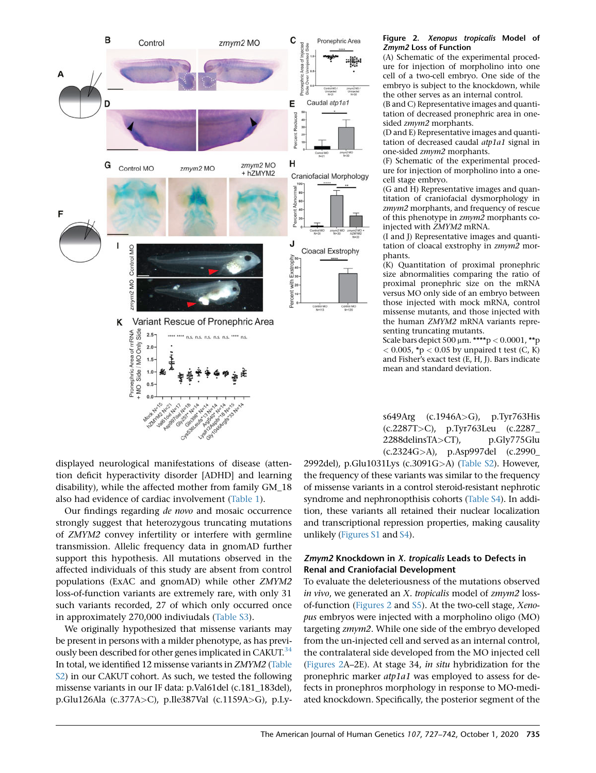

#### Figure 2. Xenopus tropicalis Model of Zmym2 Loss of Function

(A) Schematic of the experimental procedure for injection of morpholino into one cell of a two-cell embryo. One side of the embryo is subject to the knockdown, while the other serves as an internal control.

(B and C) Representative images and quantitation of decreased pronephric area in onesided zmym2 morphants.

(D and E) Representative images and quantitation of decreased caudal atp1a1 signal in one-sided zmym2 morphants.

(F) Schematic of the experimental procedure for injection of morpholino into a onecell stage embryo.

(G and H) Representative images and quantitation of craniofacial dysmorphology in zmym2 morphants, and frequency of rescue of this phenotype in zmym2 morphants coinjected with ZMYM2 mRNA.

(I and J) Representative images and quantitation of cloacal exstrophy in zmym2 morphants.

(K) Quantitation of proximal pronephric size abnormalities comparing the ratio of proximal pronephric size on the mRNA versus MO only side of an embryo between those injected with mock mRNA, control missense mutants, and those injected with the human ZMYM2 mRNA variants representing truncating mutants.

Scale bars depict 500  $\mu$ m. \*\*\*\*p < 0.0001, \*\*p  $<$  0.005, \*p  $<$  0.05 by unpaired t test (C, K) and Fisher's exact test (E, H, J). Bars indicate mean and standard deviation.

s649Arg (c.1946A>G), p.Tyr763His (c.2287T>C), p.Tyr763Leu (c.2287\_ 2288delinsTA>CT), p.Gly775Glu (c.2324G>A), p.Asp997del (c.2990\_

displayed neurological manifestations of disease (attention deficit hyperactivity disorder [ADHD] and learning disability), while the affected mother from family GM\_18 also had evidence of cardiac involvement (Table 1).

Our findings regarding de novo and mosaic occurrence strongly suggest that heterozygous truncating mutations of ZMYM2 convey infertility or interfere with germline transmission. Allelic frequency data in gnomAD further support this hypothesis. All mutations observed in the affected individuals of this study are absent from control populations (ExAC and gnomAD) while other ZMYM2 loss-of-function variants are extremely rare, with only 31 such variants recorded, 27 of which only occurred once in approximately 270,000 indiviudals (Table S3).

We originally hypothesized that missense variants may be present in persons with a milder phenotype, as has previously been described for other genes implicated in CAKUT.<sup>34</sup> In total, we identified 12 missense variants in ZMYM2 (Table S2) in our CAKUT cohort. As such, we tested the following missense variants in our IF data: p.Val61del (c.181\_183del), p.Glu126Ala (c.377A>C), p.Ile387Val (c.1159A>G), p.Ly2992del), p.Glu1031Lys (c.3091G>A) (Table S2). However, the frequency of these variants was similar to the frequency of missense variants in a control steroid-resistant nephrotic syndrome and nephronopthisis cohorts (Table S4). In addition, these variants all retained their nuclear localization and transcriptional repression properties, making causality unlikely (Figures S1 and S4).

# Zmym2 Knockdown in X. tropicalis Leads to Defects in Renal and Craniofacial Development

To evaluate the deleteriousness of the mutations observed in vivo, we generated an X. tropicalis model of zmym2 lossof-function (Figures 2 and S5). At the two-cell stage, Xenopus embryos were injected with a morpholino oligo (MO) targeting zmym2. While one side of the embryo developed from the un-injected cell and served as an internal control, the contralateral side developed from the MO injected cell (Figures 2A–2E). At stage 34, in situ hybridization for the pronephric marker atp1a1 was employed to assess for defects in pronephros morphology in response to MO-mediated knockdown. Specifically, the posterior segment of the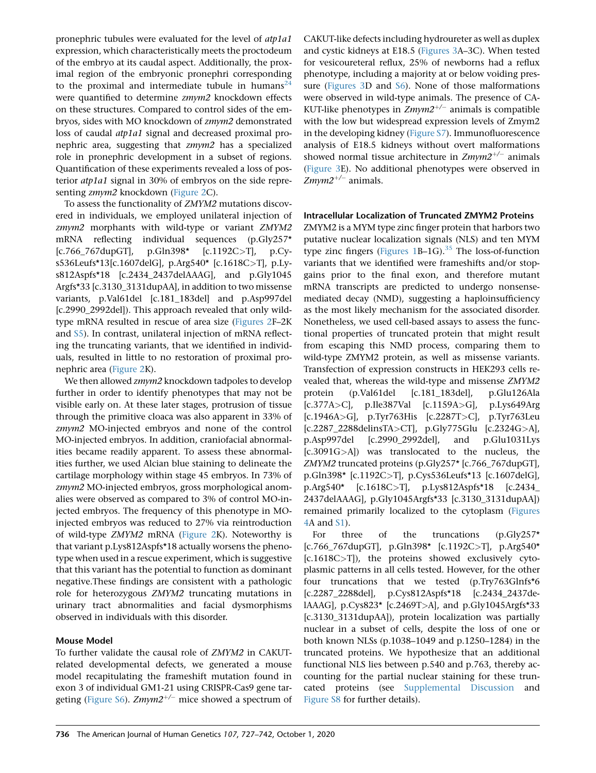pronephric tubules were evaluated for the level of atp1a1 expression, which characteristically meets the proctodeum of the embryo at its caudal aspect. Additionally, the proximal region of the embryonic pronephri corresponding to the proximal and intermediate tubule in humans<sup>24</sup> were quantified to determine zmym2 knockdown effects on these structures. Compared to control sides of the embryos, sides with MO knockdown of zmym2 demonstrated loss of caudal atp1a1 signal and decreased proximal pronephric area, suggesting that zmym2 has a specialized role in pronephric development in a subset of regions. Quantification of these experiments revealed a loss of posterior atp1a1 signal in 30% of embryos on the side representing zmym2 knockdown (Figure 2C).

To assess the functionality of ZMYM2 mutations discovered in individuals, we employed unilateral injection of zmym2 morphants with wild-type or variant ZMYM2 mRNA reflecting individual sequences (p.Gly257\* [c.766\_767dupGT], p.Gln398\* [c.1192C>T], p.Cys536Leufs\*13[c.1607delG], p.Arg540\* [c.1618C>T], p.Lys812Aspfs\*18 [c.2434\_2437delAAAG], and p.Gly1045 Argfs\*33 [c.3130\_3131dupAA], in addition to two missense variants, p.Val61del [c.181\_183del] and p.Asp997del [c.2990\_2992del]). This approach revealed that only wildtype mRNA resulted in rescue of area size (Figures 2F–2K and S5). In contrast, unilateral injection of mRNA reflecting the truncating variants, that we identified in individuals, resulted in little to no restoration of proximal pronephric area (Figure 2K).

We then allowed zmym2 knockdown tadpoles to develop further in order to identify phenotypes that may not be visible early on. At these later stages, protrusion of tissue through the primitive cloaca was also apparent in 33% of zmym2 MO-injected embryos and none of the control MO-injected embryos. In addition, craniofacial abnormalities became readily apparent. To assess these abnormalities further, we used Alcian blue staining to delineate the cartilage morphology within stage 45 embryos. In 73% of zmym2 MO-injected embryos, gross morphological anomalies were observed as compared to 3% of control MO-injected embryos. The frequency of this phenotype in MOinjected embryos was reduced to 27% via reintroduction of wild-type ZMYM2 mRNA (Figure 2K). Noteworthy is that variant p.Lys812Aspfs\*18 actually worsens the phenotype when used in a rescue experiment, which is suggestive that this variant has the potential to function as dominant negative.These findings are consistent with a pathologic role for heterozygous ZMYM2 truncating mutations in urinary tract abnormalities and facial dysmorphisms observed in individuals with this disorder.

# Mouse Model

To further validate the causal role of ZMYM2 in CAKUTrelated developmental defects, we generated a mouse model recapitulating the frameshift mutation found in exon 3 of individual GM1-21 using CRISPR-Cas9 gene targeting (Figure S6). Zmym2<sup>+/-</sup> mice showed a spectrum of

CAKUT-like defects including hydroureter as well as duplex and cystic kidneys at E18.5 (Figures 3A–3C). When tested for vesicoureteral reflux, 25% of newborns had a reflux phenotype, including a majority at or below voiding pressure (Figures 3D and S6). None of those malformations were observed in wild-type animals. The presence of CA-KUT-like phenotypes in  $Zmym2^{+/-}$  animals is compatible with the low but widespread expression levels of Zmym2 in the developing kidney (Figure S7). Immunofluorescence analysis of E18.5 kidneys without overt malformations showed normal tissue architecture in  $Zmym2^{+/-}$  animals (Figure 3E). No additional phenotypes were observed in  $Zmym2^{+/-}$  animals.

# Intracellular Localization of Truncated ZMYM2 Proteins

ZMYM2 is a MYM type zinc finger protein that harbors two putative nuclear localization signals (NLS) and ten MYM type zinc fingers (Figures  $1B-1G$ ).<sup>35</sup> The loss-of-function variants that we identified were frameshifts and/or stopgains prior to the final exon, and therefore mutant mRNA transcripts are predicted to undergo nonsensemediated decay (NMD), suggesting a haploinsufficiency as the most likely mechanism for the associated disorder. Nonetheless, we used cell-based assays to assess the functional properties of truncated protein that might result from escaping this NMD process, comparing them to wild-type ZMYM2 protein, as well as missense variants. Transfection of expression constructs in HEK293 cells revealed that, whereas the wild-type and missense ZMYM2 protein (p.Val61del [c.181\_183del], p.Glu126Ala [c.377A>C], p.Ile387Val [c.1159A>G], p.Lys649Arg [c.1946A>G], p.Tyr763His [c.2287T>C], p.Tyr763Leu [c.2287\_2288delinsTA>CT], p.Gly775Glu [c.2324G>A], p.Asp997del [c.2990\_2992del], and p.Glu1031Lys [c.3091G>A]) was translocated to the nucleus, the ZMYM2 truncated proteins (p.Gly257\* [c.766\_767dupGT], p.Gln398\* [c.1192C>T], p.Cys536Leufs\*13 [c.1607delG], p.Arg540\* [c.1618C>T], p.Lys812Aspfs\*18 [c.2434\_ 2437delAAAG], p.Gly1045Argfs\*33 [c.3130\_3131dupAA]) remained primarily localized to the cytoplasm (Figures 4A and S1).

For three of the truncations (p.Gly257\* [c.766\_767dupGT], p.Gln398\* [c.1192C>T], p.Arg540\* [c.1618C>T]), the proteins showed exclusively cytoplasmic patterns in all cells tested. However, for the other four truncations that we tested (p.Try763Glnfs\*6 [c.2287\_2288del], p.Cys812Aspfs\*18 [c.2434\_2437delAAAG], p.Cys823\* [c.2469T>A], and p.Gly1045Argfs\*33 [c.3130\_3131dupAA]), protein localization was partially nuclear in a subset of cells, despite the loss of one or both known NLSs (p.1038–1049 and p.1250–1284) in the truncated proteins. We hypothesize that an additional functional NLS lies between p.540 and p.763, thereby accounting for the partial nuclear staining for these truncated proteins (see Supplemental Discussion and Figure S8 for further details).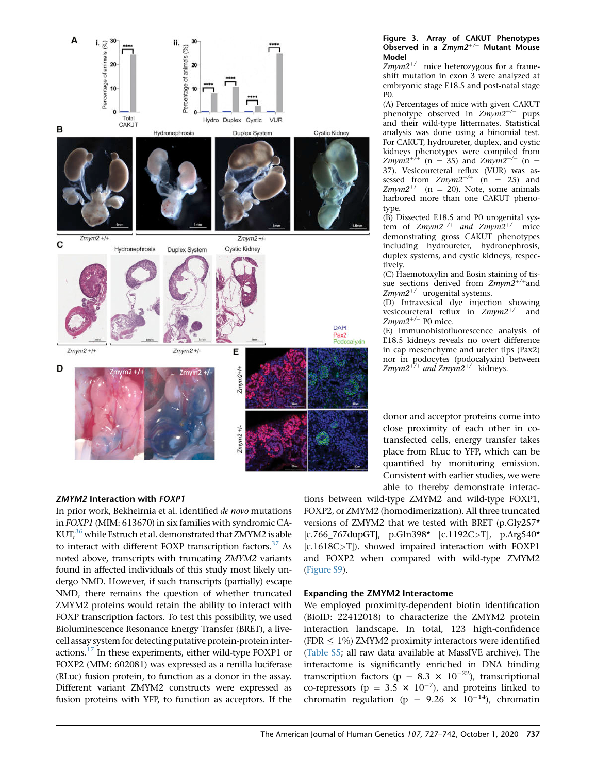

#### Figure 3. Array of CAKUT Phenotypes Observed in a  $Zmym2^{+/-}$  Mutant Mouse Model

 $Zmym2^{+/-}$  mice heterozygous for a frameshift mutation in exon 3 were analyzed at embryonic stage E18.5 and post-natal stage P0.

(A) Percentages of mice with given CAKUT phenotype observed in  $Zmym2^{+/-}$  pups and their wild-type littermates. Statistical analysis was done using a binomial test. For CAKUT, hydroureter, duplex, and cystic kidneys phenotypes were compiled from<br>Z*mym2*<sup>+/+</sup> (n = 35) and Z*mym2*<sup>+/-</sup> (n = 37). Vesicoureteral reflux (VUR) was assessed from  $Zmym2^{+/+}$  (n = 25) and Zmym2<sup>+/-</sup> (n = 20). Note, some animals harbored more than one CAKUT phenotype.

(B) Dissected E18.5 and P0 urogenital system of Zmym2<sup>+/+</sup> and Zmym2<sup>+/-</sup> mice demonstrating gross CAKUT phenotypes including hydroureter, hydronephrosis, duplex systems, and cystic kidneys, respectively.

(C) Haemotoxylin and Eosin staining of tissue sections derived from  $Zmym2^{+/+}$  and  $Zmym2^{+/-}$  urogenital systems.

(D) Intravesical dye injection showing vesicoureteral reflux in  $Zmym2^{+/+}$  and  $Z$ *mym* $2^{+/-}$  P0 mice.

(E) Immunohistofluorescence analysis of E18.5 kidneys reveals no overt difference in cap mesenchyme and ureter tips (Pax2) nor in podocytes (podocalyxin) between Zmym2<sup>+/+</sup> and Zmym2<sup>+/-</sup> kidneys.

donor and acceptor proteins come into close proximity of each other in cotransfected cells, energy transfer takes place from RLuc to YFP, which can be quantified by monitoring emission. Consistent with earlier studies, we were able to thereby demonstrate interac-

# ZMYM2 Interaction with FOXP1

In prior work, Bekheirnia et al. identified de novo mutations in FOXP1 (MIM: 613670) in six families with syndromic CA-KUT,<sup>36</sup> while Estruch et al. demonstrated that ZMYM2 is able to interact with different FOXP transcription factors. $37$  As noted above, transcripts with truncating ZMYM2 variants found in affected individuals of this study most likely undergo NMD. However, if such transcripts (partially) escape NMD, there remains the question of whether truncated ZMYM2 proteins would retain the ability to interact with FOXP transcription factors. To test this possibility, we used Bioluminescence Resonance Energy Transfer (BRET), a livecell assay system for detecting putative protein-protein interactions. $17$  In these experiments, either wild-type FOXP1 or FOXP2 (MIM: 602081) was expressed as a renilla luciferase (RLuc) fusion protein, to function as a donor in the assay. Different variant ZMYM2 constructs were expressed as fusion proteins with YFP, to function as acceptors. If the

tions between wild-type ZMYM2 and wild-type FOXP1, FOXP2, or ZMYM2 (homodimerization). All three truncated versions of ZMYM2 that we tested with BRET (p.Gly257\* [c.766\_767dupGT], p.Gln398\* [c.1192C>T], p.Arg540\* [c.1618C>T]). showed impaired interaction with FOXP1 and FOXP2 when compared with wild-type ZMYM2 (Figure S9).

# Expanding the ZMYM2 Interactome

We employed proximity-dependent biotin identification (BioID: 22412018) to characterize the ZMYM2 protein interaction landscape. In total, 123 high-confidence (FDR  $\leq$  1%) ZMYM2 proximity interactors were identified (Table S5; all raw data available at MassIVE archive). The interactome is significantly enriched in DNA binding transcription factors ( $p = 8.3 \times 10^{-22}$ ), transcriptional co-repressors ( $p = 3.5 \times 10^{-7}$ ), and proteins linked to chromatin regulation (p = 9.26  $\times$  10<sup>-14</sup>), chromatin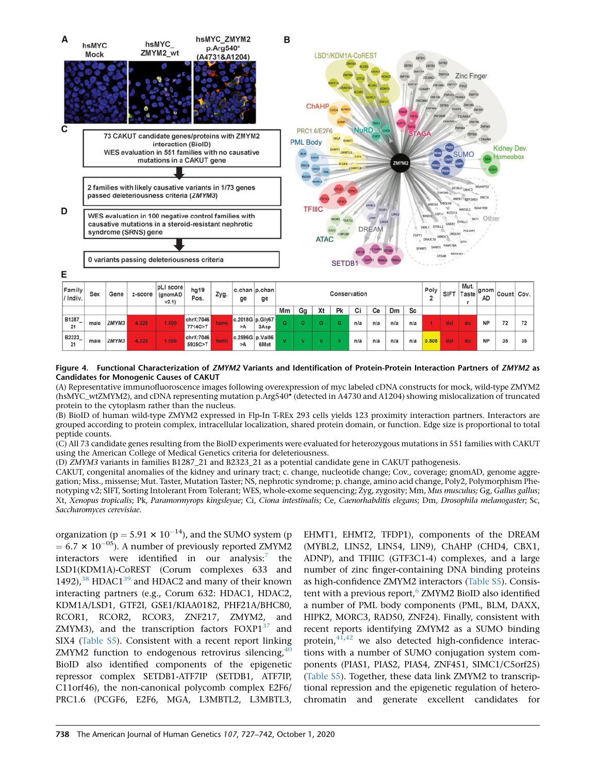

Figure 4. Functional Characterization of ZMYM2 Variants and Identification of Protein-Protein Interaction Partners of ZMYM2 as Candidates for Monogenic Causes of CAKUT

(A) Representative immunofluoroscence images following overexpression of myc labeled cDNA constructs for mock, wild-type ZMYM2 (hsMYC\_wtZMYM2), and cDNA representing mutation p.Arg540\* (detected in A4730 and A1204) showing mislocalization of truncated protein to the cytoplasm rather than the nucleus.

(B) BioID of human wild-type ZMYM2 expressed in Flp-In T-REx 293 cells yields 123 proximity interaction partners. Interactors are grouped according to protein complex, intracellular localization, shared protein domain, or function. Edge size is proportional to total peptide counts.

(C) All 73 candidate genes resulting from the BioID experiments were evaluated for heterozygous mutations in 551 families with CAKUT using the American College of Medical Genetics criteria for deleteriousness.

(D) ZMYM3 variants in families B1287\_21 and B2323\_21 as a potential candidate gene in CAKUT pathogenesis.

CAKUT, congenital anomalies of the kidney and urinary tract; c. change, nucleotide change; Cov., coverage; gnomAD, genome aggregation; Miss., missense; Mut. Taster, Mutation Taster; NS, nephrotic syndrome; p. change, amino acid change, Poly2, Polymorphism Phenotyping v2; SIFT, Sorting Intolerant From Tolerant; WES, whole-exome sequencing; Zyg, zygosity; Mm, Mus musculus; Gg, Gallus gallus; Xt, Xenopus tropicalis; Pk, Paramormyrops kingsleyae; Ci, Ciona intestinalis; Ce, Caenorhabditis elegans; Dm, Drosophila melanogaster; Sc, Saccharomyces cerevisiae.

organization ( $p = 5.91 \times 10^{-14}$ ), and the SUMO system (p  $= 6.7 \times 10^{-05}$ ). A number of previously reported ZMYM2 interactors were identified in our analysis: $7$ the LSD1(KDM1A)-CoREST (Corum complexes 633 and 1492), $38$  HDAC1 $39$  and HDAC2 and many of their known interacting partners (e.g., Corum 632: HDAC1, HDAC2, KDM1A/LSD1, GTF2I, GSE1/KIAA0182, PHF21A/BHC80, RCOR1, RCOR2, RCOR3, ZNF217, ZMYM2, and ZMYM3), and the transcription factors FOXP1<sup>37</sup> and SIX4 (Table S5). Consistent with a recent report linking ZMYM2 function to endogenous retrovirus silencing,  $40$ BioID also identified components of the epigenetic repressor complex SETDB1-ATF7IP (SETDB1, ATF7IP, C11orf46), the non-canonical polycomb complex E2F6/ PRC1.6 (PCGF6, E2F6, MGA, L3MBTL2, L3MBTL3,

EHMT1, EHMT2, TFDP1), components of the DREAM (MYBL2, LIN52, LIN54, LIN9), ChAHP (CHD4, CBX1, ADNP), and TFIIIC (GTF3C1-4) complexes, and a large number of zinc finger-containing DNA binding proteins as high-confidence ZMYM2 interactors (Table S5). Consistent with a previous report,<sup>6</sup> ZMYM2 BioID also identified a number of PML body components (PML, BLM, DAXX, HIPK2, MORC3, RAD50, ZNF24). Finally, consistent with recent reports identifying ZMYM2 as a SUMO binding protein, $41,42$  we also detected high-confidence interactions with a number of SUMO conjugation system components (PIAS1, PIAS2, PIAS4, ZNF451, SIMC1/C5orf25) (Table S5). Together, these data link ZMYM2 to transcriptional repression and the epigenetic regulation of heterochromatin and generate excellent candidates for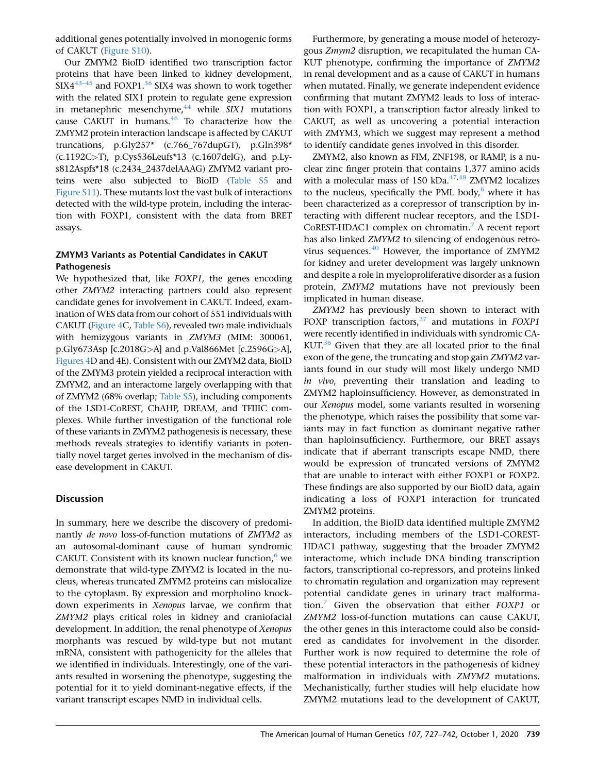additional genes potentially involved in monogenic forms of CAKUT (Figure S10).

Our ZMYM2 BioID identified two transcription factor proteins that have been linked to kidney development,  $SIX4^{43-45}$  and FOXP1.<sup>36</sup> SIX4 was shown to work together with the related SIX1 protein to regulate gene expression in metanephric mesenchyme, $44$  while SIX1 mutations cause CAKUT in humans.<sup>46</sup> To characterize how the ZMYM2 protein interaction landscape is affected by CAKUT truncations, p.Gly257\* (c.766\_767dupGT), p.Gln398\* (c.1192C>T), p.Cys536Leufs\*13 (c.1607delG), and p.Lys812Aspfs\*18 (c.2434\_2437delAAAG) ZMYM2 variant proteins were also subjected to BioID (Table S5 and Figure S11). These mutants lost the vast bulk of interactions detected with the wild-type protein, including the interaction with FOXP1, consistent with the data from BRET assays.

# ZMYM3 Variants as Potential Candidates in CAKUT Pathogenesis

We hypothesized that, like FOXP1, the genes encoding other ZMYM2 interacting partners could also represent candidate genes for involvement in CAKUT. Indeed, examination of WES data from our cohort of 551 individuals with CAKUT (Figure 4C, Table S6), revealed two male individuals with hemizygous variants in ZMYM3 (MIM: 300061, p.Gly673Asp [c.2018G>A] and p.Val866Met [c.2596G>A], Figures 4D and 4E). Consistent with our ZMYM2 data, BioID of the ZMYM3 protein yielded a reciprocal interaction with ZMYM2, and an interactome largely overlapping with that of ZMYM2 (68% overlap; Table S5), including components of the LSD1-CoREST, ChAHP, DREAM, and TFIIIC complexes. While further investigation of the functional role of these variants in ZMYM2 pathogenesis is necessary, these methods reveals strategies to identifiy variants in potentially novel target genes involved in the mechanism of disease development in CAKUT.

# **Discussion**

In summary, here we describe the discovery of predominantly de novo loss-of-function mutations of ZMYM2 as an autosomal-dominant cause of human syndromic CAKUT. Consistent with its known nuclear function, $6$  we demonstrate that wild-type ZMYM2 is located in the nucleus, whereas truncated ZMYM2 proteins can mislocalize to the cytoplasm. By expression and morpholino knockdown experiments in Xenopus larvae, we confirm that ZMYM2 plays critical roles in kidney and craniofacial development. In addition, the renal phenotype of Xenopus morphants was rescued by wild-type but not mutant mRNA, consistent with pathogenicity for the alleles that we identified in individuals. Interestingly, one of the variants resulted in worsening the phenotype, suggesting the potential for it to yield dominant-negative effects, if the variant transcript escapes NMD in individual cells.

Furthermore, by generating a mouse model of heterozygous Zmym2 disruption, we recapitulated the human CA-KUT phenotype, confirming the importance of ZMYM2 in renal development and as a cause of CAKUT in humans when mutated. Finally, we generate independent evidence confirming that mutant ZMYM2 leads to loss of interaction with FOXP1, a transcription factor already linked to CAKUT, as well as uncovering a potential interaction with ZMYM3, which we suggest may represent a method to identify candidate genes involved in this disorder.

ZMYM2, also known as FIM, ZNF198, or RAMP, is a nuclear zinc finger protein that contains 1,377 amino acids with a molecular mass of 150 kDa. $47,48$  ZMYM2 localizes to the nucleus, specifically the PML body, $6$  where it has been characterized as a corepressor of transcription by interacting with different nuclear receptors, and the LSD1- CoREST-HDAC1 complex on chromatin.<sup>7</sup> A recent report has also linked ZMYM2 to silencing of endogenous retrovirus sequences. $^{40}$  However, the importance of ZMYM2 for kidney and ureter development was largely unknown and despite a role in myeloproliferative disorder as a fusion protein, ZMYM2 mutations have not previously been implicated in human disease.

ZMYM2 has previously been shown to interact with FOXP transcription factors, $37$  and mutations in FOXP1 were recently identified in individuals with syndromic CA- $KUT<sup>36</sup>$  Given that they are all located prior to the final exon of the gene, the truncating and stop gain ZMYM2 variants found in our study will most likely undergo NMD in vivo, preventing their translation and leading to ZMYM2 haploinsufficiency. However, as demonstrated in our Xenopus model, some variants resulted in worsening the phenotype, which raises the possibility that some variants may in fact function as dominant negative rather than haploinsufficiency. Furthermore, our BRET assays indicate that if aberrant transcripts escape NMD, there would be expression of truncated versions of ZMYM2 that are unable to interact with either FOXP1 or FOXP2. These findings are also supported by our BioID data, again indicating a loss of FOXP1 interaction for truncated ZMYM2 proteins.

In addition, the BioID data identified multiple ZMYM2 interactors, including members of the LSD1-COREST-HDAC1 pathway, suggesting that the broader ZMYM2 interactome, which include DNA binding transcription factors, transcriptional co-repressors, and proteins linked to chromatin regulation and organization may represent potential candidate genes in urinary tract malformation.<sup>7</sup> Given the observation that either  $FOXP1$  or ZMYM2 loss-of-function mutations can cause CAKUT, the other genes in this interactome could also be considered as candidates for involvement in the disorder. Further work is now required to determine the role of these potential interactors in the pathogenesis of kidney malformation in individuals with ZMYM2 mutations. Mechanistically, further studies will help elucidate how ZMYM2 mutations lead to the development of CAKUT,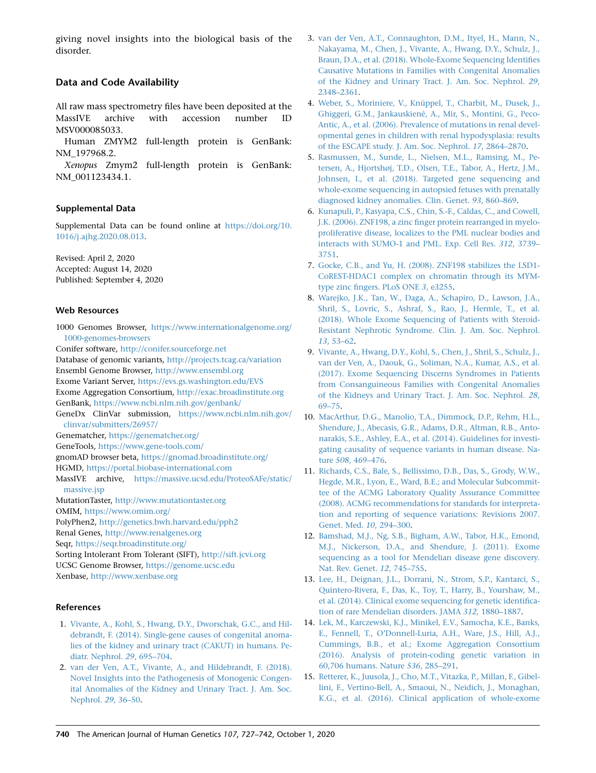giving novel insights into the biological basis of the disorder.

# Data and Code Availability

All raw mass spectrometry files have been deposited at the MassIVE archive with accession number ID MSV000085033.

Human ZMYM2 full-length protein is GenBank: NM\_197968.2.

Xenopus Zmym2 full-length protein is GenBank: NM\_001123434.1.

#### Supplemental Data

Supplemental Data can be found online at https://doi.org/10. 1016/j.ajhg.2020.08.013.

Revised: April 2, 2020 Accepted: August 14, 2020 Published: September 4, 2020

#### Web Resources

1000 Genomes Browser, https://www.internationalgenome.org/ 1000-genomes-browsers

Conifer software, http://conifer.sourceforge.net

Database of genomic variants, http://projects.tcag.ca/variation Ensembl Genome Browser, http://www.ensembl.org Exome Variant Server, https://evs.gs.washington.edu/EVS Exome Aggregation Consortium, http://exac.broadinstitute.org GenBank, https://www.ncbi.nlm.nih.gov/genbank/ GeneDx ClinVar submission, https://www.ncbi.nlm.nih.gov/ clinvar/submitters/26957/ Genematcher, https://genematcher.org/ GeneTools, https://www.gene-tools.com/ gnomAD browser beta, https://gnomad.broadinstitute.org/ HGMD, https://portal.biobase-international.com MassIVE archive, https://massive.ucsd.edu/ProteoSAFe/static/ massive.jsp MutationTaster, http://www.mutationtaster.org OMIM, https://www.omim.org/

PolyPhen2, http://genetics.bwh.harvard.edu/pph2

Renal Genes, http://www.renalgenes.org

Seqr, https://seqr.broadinstitute.org/

Sorting Intolerant From Tolerant (SIFT), http://sift.jcvi.org

UCSC Genome Browser, https://genome.ucsc.edu

Xenbase, http://www.xenbase.org

#### References

- 1. Vivante, A., Kohl, S., Hwang, D.Y., Dworschak, G.C., and Hildebrandt, F. (2014). Single-gene causes of congenital anomalies of the kidney and urinary tract (CAKUT) in humans. Pediatr. Nephrol. 29, 695–704.
- 2. van der Ven, A.T., Vivante, A., and Hildebrandt, F. (2018). Novel Insights into the Pathogenesis of Monogenic Congenital Anomalies of the Kidney and Urinary Tract. J. Am. Soc. Nephrol. 29, 36–50.
- 3. van der Ven, A.T., Connaughton, D.M., Ityel, H., Mann, N., Nakayama, M., Chen, J., Vivante, A., Hwang, D.Y., Schulz, J., Braun, D.A., et al. (2018). Whole-Exome Sequencing Identifies Causative Mutations in Families with Congenital Anomalies of the Kidney and Urinary Tract. J. Am. Soc. Nephrol. 29, 2348–2361.
- 4. Weber, S., Moriniere, V., Knüppel, T., Charbit, M., Dusek, J., Ghiggeri, G.M., Jankauskiené, A., Mir, S., Montini, G., Peco-Antic, A., et al. (2006). Prevalence of mutations in renal developmental genes in children with renal hypodysplasia: results of the ESCAPE study. J. Am. Soc. Nephrol. 17, 2864–2870.
- 5. Rasmussen, M., Sunde, L., Nielsen, M.L., Ramsing, M., Petersen, A., Hjortshøj, T.D., Olsen, T.E., Tabor, A., Hertz, J.M., Johnsen, I., et al. (2018). Targeted gene sequencing and whole-exome sequencing in autopsied fetuses with prenatally diagnosed kidney anomalies. Clin. Genet. 93, 860–869.
- 6. Kunapuli, P., Kasyapa, C.S., Chin, S.-F., Caldas, C., and Cowell, J.K. (2006). ZNF198, a zinc finger protein rearranged in myeloproliferative disease, localizes to the PML nuclear bodies and interacts with SUMO-1 and PML. Exp. Cell Res. 312, 3739– 3751.
- 7. Gocke, C.B., and Yu, H. (2008). ZNF198 stabilizes the LSD1- CoREST-HDAC1 complex on chromatin through its MYMtype zinc fingers. PLoS ONE 3, e3255.
- 8. Warejko, J.K., Tan, W., Daga, A., Schapiro, D., Lawson, J.A., Shril, S., Lovric, S., Ashraf, S., Rao, J., Hermle, T., et al. (2018). Whole Exome Sequencing of Patients with Steroid-Resistant Nephrotic Syndrome. Clin. J. Am. Soc. Nephrol. 13, 53–62.
- 9. Vivante, A., Hwang, D.Y., Kohl, S., Chen, J., Shril, S., Schulz, J., van der Ven, A., Daouk, G., Soliman, N.A., Kumar, A.S., et al. (2017). Exome Sequencing Discerns Syndromes in Patients from Consanguineous Families with Congenital Anomalies of the Kidneys and Urinary Tract. J. Am. Soc. Nephrol. 28, 69–75.
- 10. MacArthur, D.G., Manolio, T.A., Dimmock, D.P., Rehm, H.L., Shendure, J., Abecasis, G.R., Adams, D.R., Altman, R.B., Antonarakis, S.E., Ashley, E.A., et al. (2014). Guidelines for investigating causality of sequence variants in human disease. Nature 508, 469–476.
- 11. Richards, C.S., Bale, S., Bellissimo, D.B., Das, S., Grody, W.W., Hegde, M.R., Lyon, E., Ward, B.E.; and Molecular Subcommittee of the ACMG Laboratory Quality Assurance Committee (2008). ACMG recommendations for standards for interpretation and reporting of sequence variations: Revisions 2007. Genet. Med. 10, 294–300.
- 12. Bamshad, M.J., Ng, S.B., Bigham, A.W., Tabor, H.K., Emond, M.J., Nickerson, D.A., and Shendure, J. (2011). Exome sequencing as a tool for Mendelian disease gene discovery. Nat. Rev. Genet. 12, 745–755.
- 13. Lee, H., Deignan, J.L., Dorrani, N., Strom, S.P., Kantarci, S., Quintero-Rivera, F., Das, K., Toy, T., Harry, B., Yourshaw, M., et al. (2014). Clinical exome sequencing for genetic identification of rare Mendelian disorders. JAMA 312, 1880–1887.
- 14. Lek, M., Karczewski, K.J., Minikel, E.V., Samocha, K.E., Banks, E., Fennell, T., O'Donnell-Luria, A.H., Ware, J.S., Hill, A.J., Cummings, B.B., et al.; Exome Aggregation Consortium (2016). Analysis of protein-coding genetic variation in 60,706 humans. Nature 536, 285–291.
- 15. Retterer, K., Juusola, J., Cho, M.T., Vitazka, P., Millan, F., Gibellini, F., Vertino-Bell, A., Smaoui, N., Neidich, J., Monaghan, K.G., et al. (2016). Clinical application of whole-exome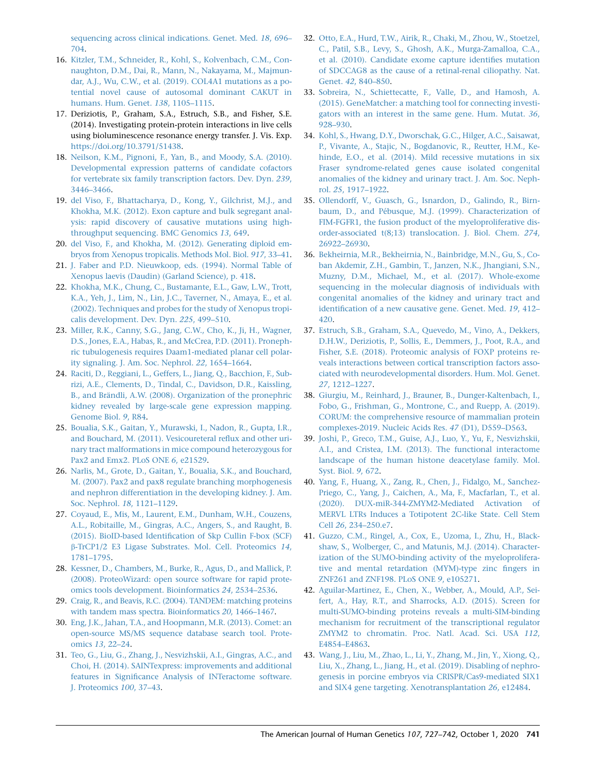sequencing across clinical indications. Genet. Med. 18, 696– 704.

- 16. Kitzler, T.M., Schneider, R., Kohl, S., Kolvenbach, C.M., Connaughton, D.M., Dai, R., Mann, N., Nakayama, M., Majmundar, A.J., Wu, C.W., et al. (2019). COL4A1 mutations as a potential novel cause of autosomal dominant CAKUT in humans. Hum. Genet. 138, 1105–1115.
- 17. Deriziotis, P., Graham, S.A., Estruch, S.B., and Fisher, S.E. (2014). Investigating protein-protein interactions in live cells using bioluminescence resonance energy transfer. J. Vis. Exp. https://doi.org/10.3791/51438.
- 18. Neilson, K.M., Pignoni, F., Yan, B., and Moody, S.A. (2010). Developmental expression patterns of candidate cofactors for vertebrate six family transcription factors. Dev. Dyn. 239, 3446–3466.
- 19. del Viso, F., Bhattacharya, D., Kong, Y., Gilchrist, M.J., and Khokha, M.K. (2012). Exon capture and bulk segregant analysis: rapid discovery of causative mutations using highthroughput sequencing. BMC Genomics 13, 649.
- 20. del Viso, F., and Khokha, M. (2012). Generating diploid embryos from Xenopus tropicalis. Methods Mol. Biol. 917, 33–41.
- 21. J. Faber and P.D. Nieuwkoop, eds. (1994). Normal Table of Xenopus laevis (Daudin) (Garland Science), p. 418.
- 22. Khokha, M.K., Chung, C., Bustamante, E.L., Gaw, L.W., Trott, K.A., Yeh, J., Lim, N., Lin, J.C., Taverner, N., Amaya, E., et al. (2002). Techniques and probes for the study of Xenopus tropicalis development. Dev. Dyn. 225, 499–510.
- 23. Miller, R.K., Canny, S.G., Jang, C.W., Cho, K., Ji, H., Wagner, D.S., Jones, E.A., Habas, R., and McCrea, P.D. (2011). Pronephric tubulogenesis requires Daam1-mediated planar cell polarity signaling. J. Am. Soc. Nephrol. 22, 1654–1664.
- 24. Raciti, D., Reggiani, L., Geffers, L., Jiang, Q., Bacchion, F., Subrizi, A.E., Clements, D., Tindal, C., Davidson, D.R., Kaissling, B., and Brändli, A.W. (2008). Organization of the pronephric kidney revealed by large-scale gene expression mapping. Genome Biol. 9, R84.
- 25. Boualia, S.K., Gaitan, Y., Murawski, I., Nadon, R., Gupta, I.R., and Bouchard, M. (2011). Vesicoureteral reflux and other urinary tract malformations in mice compound heterozygous for Pax2 and Emx2. PLoS ONE 6, e21529.
- 26. Narlis, M., Grote, D., Gaitan, Y., Boualia, S.K., and Bouchard, M. (2007). Pax2 and pax8 regulate branching morphogenesis and nephron differentiation in the developing kidney. J. Am. Soc. Nephrol. 18, 1121–1129.
- 27. Coyaud, E., Mis, M., Laurent, E.M., Dunham, W.H., Couzens, A.L., Robitaille, M., Gingras, A.C., Angers, S., and Raught, B. (2015). BioID-based Identification of Skp Cullin F-box (SCF) b-TrCP1/2 E3 Ligase Substrates. Mol. Cell. Proteomics 14, 1781–1795.
- 28. Kessner, D., Chambers, M., Burke, R., Agus, D., and Mallick, P. (2008). ProteoWizard: open source software for rapid proteomics tools development. Bioinformatics 24, 2534–2536.
- 29. Craig, R., and Beavis, R.C. (2004). TANDEM: matching proteins with tandem mass spectra. Bioinformatics 20, 1466–1467.
- 30. Eng, J.K., Jahan, T.A., and Hoopmann, M.R. (2013). Comet: an open-source MS/MS sequence database search tool. Proteomics 13, 22–24.
- 31. Teo, G., Liu, G., Zhang, J., Nesvizhskii, A.I., Gingras, A.C., and Choi, H. (2014). SAINTexpress: improvements and additional features in Significance Analysis of INTeractome software. J. Proteomics 100, 37–43.
- 32. Otto, E.A., Hurd, T.W., Airik, R., Chaki, M., Zhou, W., Stoetzel, C., Patil, S.B., Levy, S., Ghosh, A.K., Murga-Zamalloa, C.A., et al. (2010). Candidate exome capture identifies mutation of SDCCAG8 as the cause of a retinal-renal ciliopathy. Nat. Genet. 42, 840–850.
- 33. Sobreira, N., Schiettecatte, F., Valle, D., and Hamosh, A. (2015). GeneMatcher: a matching tool for connecting investigators with an interest in the same gene. Hum. Mutat. 36, 928–930.
- 34. Kohl, S., Hwang, D.Y., Dworschak, G.C., Hilger, A.C., Saisawat, P., Vivante, A., Stajic, N., Bogdanovic, R., Reutter, H.M., Kehinde, E.O., et al. (2014). Mild recessive mutations in six Fraser syndrome-related genes cause isolated congenital anomalies of the kidney and urinary tract. J. Am. Soc. Nephrol. 25, 1917–1922.
- 35. Ollendorff, V., Guasch, G., Isnardon, D., Galindo, R., Birnbaum, D., and Pébusque, M.J. (1999). Characterization of FIM-FGFR1, the fusion product of the myeloproliferative disorder-associated t(8;13) translocation. J. Biol. Chem. 274, 26922–26930.
- 36. Bekheirnia, M.R., Bekheirnia, N., Bainbridge, M.N., Gu, S., Coban Akdemir, Z.H., Gambin, T., Janzen, N.K., Jhangiani, S.N., Muzny, D.M., Michael, M., et al. (2017). Whole-exome sequencing in the molecular diagnosis of individuals with congenital anomalies of the kidney and urinary tract and identification of a new causative gene. Genet. Med. 19, 412– 420.
- 37. Estruch, S.B., Graham, S.A., Quevedo, M., Vino, A., Dekkers, D.H.W., Deriziotis, P., Sollis, E., Demmers, J., Poot, R.A., and Fisher, S.E. (2018). Proteomic analysis of FOXP proteins reveals interactions between cortical transcription factors associated with neurodevelopmental disorders. Hum. Mol. Genet. 27, 1212–1227.
- 38. Giurgiu, M., Reinhard, J., Brauner, B., Dunger-Kaltenbach, I., Fobo, G., Frishman, G., Montrone, C., and Ruepp, A. (2019). CORUM: the comprehensive resource of mammalian protein complexes-2019. Nucleic Acids Res. 47 (D1), D559–D563.
- 39. Joshi, P., Greco, T.M., Guise, A.J., Luo, Y., Yu, F., Nesvizhskii, A.I., and Cristea, I.M. (2013). The functional interactome landscape of the human histone deacetylase family. Mol. Syst. Biol. 9, 672.
- 40. Yang, F., Huang, X., Zang, R., Chen, J., Fidalgo, M., Sanchez-Priego, C., Yang, J., Caichen, A., Ma, F., Macfarlan, T., et al. (2020). DUX-miR-344-ZMYM2-Mediated Activation of MERVL LTRs Induces a Totipotent 2C-like State. Cell Stem Cell 26, 234–250.e7.
- 41. Guzzo, C.M., Ringel, A., Cox, E., Uzoma, I., Zhu, H., Blackshaw, S., Wolberger, C., and Matunis, M.J. (2014). Characterization of the SUMO-binding activity of the myeloproliferative and mental retardation (MYM)-type zinc fingers in ZNF261 and ZNF198. PLoS ONE 9, e105271.
- 42. Aguilar-Martinez, E., Chen, X., Webber, A., Mould, A.P., Seifert, A., Hay, R.T., and Sharrocks, A.D. (2015). Screen for multi-SUMO-binding proteins reveals a multi-SIM-binding mechanism for recruitment of the transcriptional regulator ZMYM2 to chromatin. Proc. Natl. Acad. Sci. USA 112, E4854–E4863.
- 43. Wang, J., Liu, M., Zhao, L., Li, Y., Zhang, M., Jin, Y., Xiong, Q., Liu, X., Zhang, L., Jiang, H., et al. (2019). Disabling of nephrogenesis in porcine embryos via CRISPR/Cas9-mediated SIX1 and SIX4 gene targeting. Xenotransplantation 26, e12484.